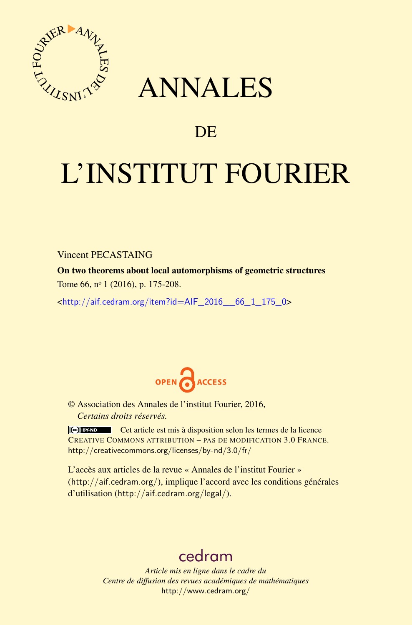

## ANNALES

## **DE**

# L'INSTITUT FOURIER

Vincent PECASTAING

On two theorems about local automorphisms of geometric structures Tome 66, nº 1 (2016), p. 175-208.

 $\kappa$ http://aif.cedram.org/item?id=AIF\_2016\_66\_1\_175\_0>



© Association des Annales de l'institut Fourier, 2016, *Certains droits réservés.*

Cet article est mis à disposition selon les termes de la licence CREATIVE COMMONS ATTRIBUTION – PAS DE MODIFICATION 3.0 FRANCE. <http://creativecommons.org/licenses/by-nd/3.0/fr/>

L'accès aux articles de la revue « Annales de l'institut Fourier » (<http://aif.cedram.org/>), implique l'accord avec les conditions générales d'utilisation (<http://aif.cedram.org/legal/>).

## [cedram](http://www.cedram.org/)

*Article mis en ligne dans le cadre du Centre de diffusion des revues académiques de mathématiques* <http://www.cedram.org/>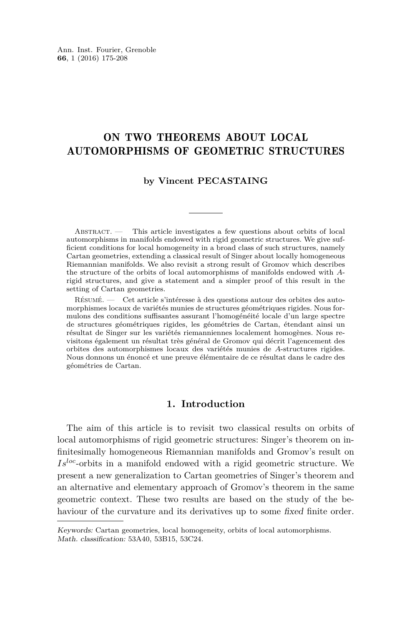### ON TWO THEOREMS ABOUT LOCAL AUTOMORPHISMS OF GEOMETRIC STRUCTURES

#### **by Vincent PECASTAING**

ABSTRACT. — This article investigates a few questions about orbits of local automorphisms in manifolds endowed with rigid geometric structures. We give sufficient conditions for local homogeneity in a broad class of such structures, namely Cartan geometries, extending a classical result of Singer about locally homogeneous Riemannian manifolds. We also revisit a strong result of Gromov which describes the structure of the orbits of local automorphisms of manifolds endowed with *A*rigid structures, and give a statement and a simpler proof of this result in the setting of Cartan geometries.

Résumé. — Cet article s'intéresse à des questions autour des orbites des automorphismes locaux de variétés munies de structures géométriques rigides. Nous formulons des conditions suffisantes assurant l'homogénéité locale d'un large spectre de structures géométriques rigides, les géométries de Cartan, étendant ainsi un résultat de Singer sur les variétés riemanniennes localement homogènes. Nous revisitons également un résultat très général de Gromov qui décrit l'agencement des orbites des automorphismes locaux des variétés munies de *A*-structures rigides. Nous donnons un énoncé et une preuve élémentaire de ce résultat dans le cadre des géométries de Cartan.

#### **1. Introduction**

The aim of this article is to revisit two classical results on orbits of local automorphisms of rigid geometric structures: Singer's theorem on infinitesimally homogeneous Riemannian manifolds and Gromov's result on *Isloc*-orbits in a manifold endowed with a rigid geometric structure. We present a new generalization to Cartan geometries of Singer's theorem and an alternative and elementary approach of Gromov's theorem in the same geometric context. These two results are based on the study of the behaviour of the curvature and its derivatives up to some fixed finite order.

Keywords: Cartan geometries, local homogeneity, orbits of local automorphisms. Math. classification: 53A40, 53B15, 53C24.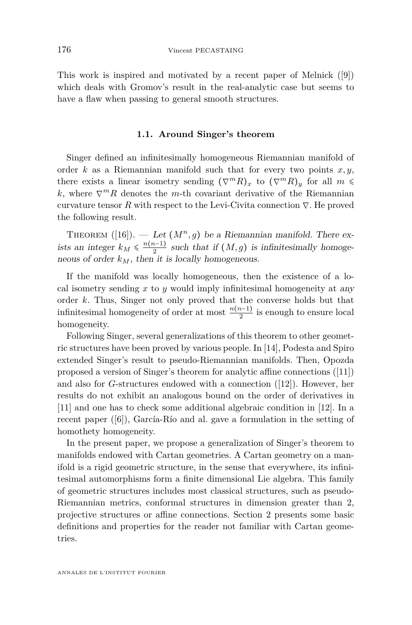This work is inspired and motivated by a recent paper of Melnick ([\[9\]](#page-34-0)) which deals with Gromov's result in the real-analytic case but seems to have a flaw when passing to general smooth structures.

#### **1.1. Around Singer's theorem**

Singer defined an infinitesimally homogeneous Riemannian manifold of order  $k$  as a Riemannian manifold such that for every two points  $x, y$ , there exists a linear isometry sending  $(\nabla^m R)_x$  to  $(\nabla^m R)_y$  for all  $m \leq$ *k*, where  $\nabla^m R$  denotes the *m*-th covariant derivative of the Riemannian curvature tensor  $R$  with respect to the Levi-Civita connection  $\nabla$ . He proved the following result.

THEOREM  $([16])$  $([16])$  $([16])$ . — Let  $(M^n, g)$  be a Riemannian manifold. There exists an integer  $k_M \leq \frac{n(n-1)}{2}$  such that if  $(M, g)$  is infinitesimally homogeneous of order  $k_M$ , then it is locally homogeneous.

If the manifold was locally homogeneous, then the existence of a local isometry sending *x* to *y* would imply infinitesimal homogeneity at any order *k*. Thus, Singer not only proved that the converse holds but that infinitesimal homogeneity of order at most  $\frac{n(n-1)}{2}$  is enough to ensure local homogeneity.

Following Singer, several generalizations of this theorem to other geometric structures have been proved by various people. In [\[14\]](#page-34-2), Podesta and Spiro extended Singer's result to pseudo-Riemannian manifolds. Then, Opozda proposed a version of Singer's theorem for analytic affine connections ([\[11\]](#page-34-3)) and also for *G*-structures endowed with a connection ([\[12\]](#page-34-4)). However, her results do not exhibit an analogous bound on the order of derivatives in [\[11\]](#page-34-3) and one has to check some additional algebraic condition in [\[12\]](#page-34-4). In a recent paper ([\[6\]](#page-34-5)), García-Río and al. gave a formulation in the setting of homothety homogeneity.

In the present paper, we propose a generalization of Singer's theorem to manifolds endowed with Cartan geometries. A Cartan geometry on a manifold is a rigid geometric structure, in the sense that everywhere, its infinitesimal automorphisms form a finite dimensional Lie algebra. This family of geometric structures includes most classical structures, such as pseudo-Riemannian metrics, conformal structures in dimension greater than 2, projective structures or affine connections. Section [2](#page-6-0) presents some basic definitions and properties for the reader not familiar with Cartan geometries.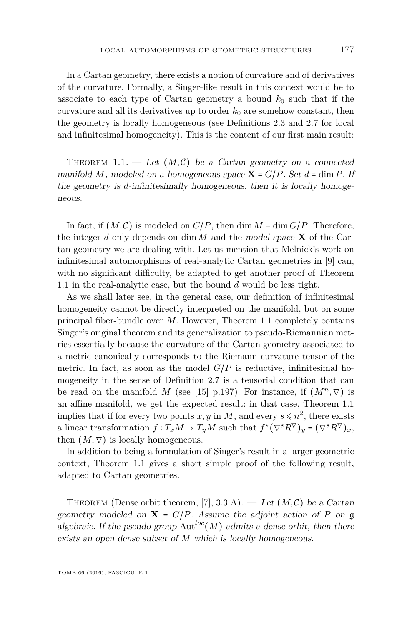In a Cartan geometry, there exists a notion of curvature and of derivatives of the curvature. Formally, a Singer-like result in this context would be to associate to each type of Cartan geometry a bound  $k_0$  such that if the curvature and all its derivatives up to order  $k_0$  are somehow constant, then the geometry is locally homogeneous (see Definitions [2.3](#page-9-0) and [2.7](#page-11-0) for local and infinitesimal homogeneity). This is the content of our first main result:

<span id="page-3-0"></span>THEOREM 1.1. — Let  $(M, \mathcal{C})$  be a Cartan geometry on a connected manifold *M*, modeled on a homogeneous space  $X = G/P$ . Set  $d = \dim P$ . If the geometry is *d*-infinitesimally homogeneous, then it is locally homogeneous.

In fact, if  $(M, \mathcal{C})$  is modeled on  $G/P$ , then dim  $M = \dim G/P$ . Therefore, the integer  $d$  only depends on dim  $M$  and the model space  $X$  of the Cartan geometry we are dealing with. Let us mention that Melnick's work on infinitesimal automorphisms of real-analytic Cartan geometries in [\[9\]](#page-34-0) can, with no significant difficulty, be adapted to get another proof of Theorem [1.1](#page-3-0) in the real-analytic case, but the bound *d* would be less tight.

As we shall later see, in the general case, our definition of infinitesimal homogeneity cannot be directly interpreted on the manifold, but on some principal fiber-bundle over *M*. However, Theorem [1.1](#page-3-0) completely contains Singer's original theorem and its generalization to pseudo-Riemannian metrics essentially because the curvature of the Cartan geometry associated to a metric canonically corresponds to the Riemann curvature tensor of the metric. In fact, as soon as the model  $G/P$  is reductive, infinitesimal homogeneity in the sense of Definition [2.7](#page-11-0) is a tensorial condition that can be read on the manifold *M* (see [\[15\]](#page-34-6) p.197). For instance, if  $(M^n, \nabla)$  is an affine manifold, we get the expected result: in that case, Theorem [1.1](#page-3-0) implies that if for every two points  $x, y$  in  $M$ , and every  $s \le n^2$ , there exists a linear transformation  $f: T_xM \to T_yM$  such that  $f^*(\nabla^s R^{\nabla})_y = (\nabla^s R^{\nabla})_x$ , then  $(M, \nabla)$  is locally homogeneous.

In addition to being a formulation of Singer's result in a larger geometric context, Theorem [1.1](#page-3-0) gives a short simple proof of the following result, adapted to Cartan geometries.

THEOREM (Dense orbit theorem, [\[7\]](#page-34-7), 3.3.A). — Let  $(M, \mathcal{C})$  be a Cartan geometry modeled on  $X = G/P$ . Assume the adjoint action of P on g algebraic. If the pseudo-group  $Aut^{loc}(M)$  admits a dense orbit, then there exists an open dense subset of *M* which is locally homogeneous.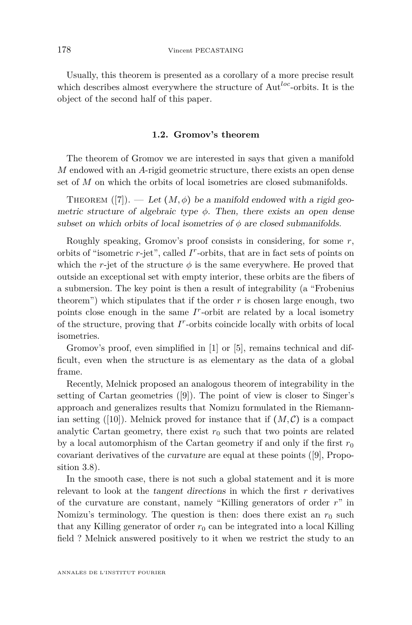Usually, this theorem is presented as a corollary of a more precise result which describes almost everywhere the structure of Aut*loc*-orbits. It is the object of the second half of this paper.

#### **1.2. Gromov's theorem**

The theorem of Gromov we are interested in says that given a manifold *M* endowed with an *A*-rigid geometric structure, there exists an open dense set of *M* on which the orbits of local isometries are closed submanifolds.

THEOREM  $([7])$  $([7])$  $([7])$ . — Let  $(M, \phi)$  be a manifold endowed with a rigid geometric structure of algebraic type  $\phi$ . Then, there exists an open dense subset on which orbits of local isometries of  $\phi$  are closed submanifolds.

Roughly speaking, Gromov's proof consists in considering, for some *r*, orbits of "isometric *r*-jet", called *I r* -orbits, that are in fact sets of points on which the *r*-jet of the structure  $\phi$  is the same everywhere. He proved that outside an exceptional set with empty interior, these orbits are the fibers of a submersion. The key point is then a result of integrability (a "Frobenius theorem") which stipulates that if the order  $r$  is chosen large enough, two points close enough in the same  $I^r$ -orbit are related by a local isometry of the structure, proving that *I r* -orbits coincide locally with orbits of local isometries.

Gromov's proof, even simplified in [\[1\]](#page-33-0) or [\[5\]](#page-34-8), remains technical and difficult, even when the structure is as elementary as the data of a global frame.

Recently, Melnick proposed an analogous theorem of integrability in the setting of Cartan geometries ([\[9\]](#page-34-0)). The point of view is closer to Singer's approach and generalizes results that Nomizu formulated in the Riemannian setting  $([10])$  $([10])$  $([10])$ . Melnick proved for instance that if  $(M, \mathcal{C})$  is a compact analytic Cartan geometry, there exist  $r_0$  such that two points are related by a local automorphism of the Cartan geometry if and only if the first  $r_0$ covariant derivatives of the curvature are equal at these points ([\[9\]](#page-34-0), Proposition 3.8).

In the smooth case, there is not such a global statement and it is more relevant to look at the tangent directions in which the first *r* derivatives of the curvature are constant, namely "Killing generators of order *r*" in Nomizu's terminology. The question is then: does there exist an  $r_0$  such that any Killing generator of order  $r_0$  can be integrated into a local Killing field ? Melnick answered positively to it when we restrict the study to an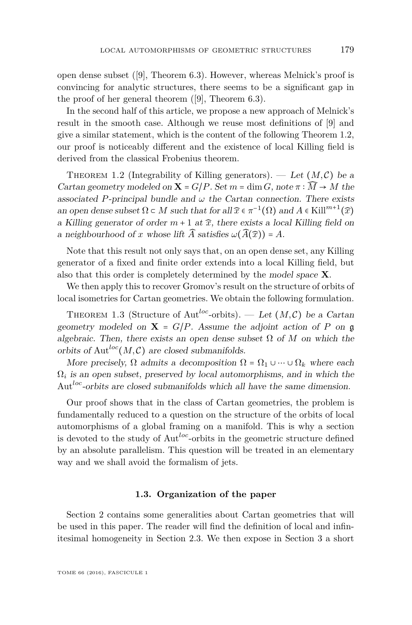open dense subset ([\[9\]](#page-34-0), Theorem 6.3). However, whereas Melnick's proof is convincing for analytic structures, there seems to be a significant gap in the proof of her general theorem ([\[9\]](#page-34-0), Theorem 6.3).

In the second half of this article, we propose a new approach of Melnick's result in the smooth case. Although we reuse most definitions of [\[9\]](#page-34-0) and give a similar statement, which is the content of the following Theorem [1.2,](#page-5-0) our proof is noticeably different and the existence of local Killing field is derived from the classical Frobenius theorem.

<span id="page-5-0"></span>THEOREM 1.2 (Integrability of Killing generators). — Let  $(M, \mathcal{C})$  be a Cartan geometry modeled on  $X = G/P$ . Set  $m = \dim G$ , note  $\pi : \widehat{M} \to M$  the associated *P*-principal bundle and  $\omega$  the Cartan connection. There exists an open dense subset  $\Omega \subset M$  such that for all  $\widehat{x} \in \pi^{-1}(\Omega)$  and  $A \in$  Kill<sup>m+1</sup> $(\widehat{x})$ a Killing generator of order  $m + 1$  at  $\hat{x}$ , there exists a local Killing field on a neighbourhood of *x* whose lift  $\widehat{A}$  satisfies  $\omega(\widehat{A}(\widehat{x})) = A$ .

Note that this result not only says that, on an open dense set, any Killing generator of a fixed and finite order extends into a local Killing field, but also that this order is completely determined by the model space **X**.

We then apply this to recover Gromov's result on the structure of orbits of local isometries for Cartan geometries. We obtain the following formulation.

<span id="page-5-1"></span>THEOREM 1.3 (Structure of Aut<sup>loc</sup>-orbits). — Let  $(M, \mathcal{C})$  be a Cartan geometry modeled on  $X = G/P$ . Assume the adjoint action of P on g algebraic. Then, there exists an open dense subset  $\Omega$  of M on which the orbits of Aut<sup>loc</sup> $(M, \mathcal{C})$  are closed submanifolds.

More precisely,  $\Omega$  admits a decomposition  $\Omega = \Omega_1 \cup \cdots \cup \Omega_k$  where each  $\Omega_i$  is an open subset, preserved by local automorphisms, and in which the Aut*loc*-orbits are closed submanifolds which all have the same dimension.

Our proof shows that in the class of Cartan geometries, the problem is fundamentally reduced to a question on the structure of the orbits of local automorphisms of a global framing on a manifold. This is why a section is devoted to the study of Aut*loc*-orbits in the geometric structure defined by an absolute parallelism. This question will be treated in an elementary way and we shall avoid the formalism of jets.

#### **1.3. Organization of the paper**

Section [2](#page-6-0) contains some generalities about Cartan geometries that will be used in this paper. The reader will find the definition of local and infinitesimal homogeneity in Section [2.3.](#page-10-0) We then expose in Section [3](#page-12-0) a short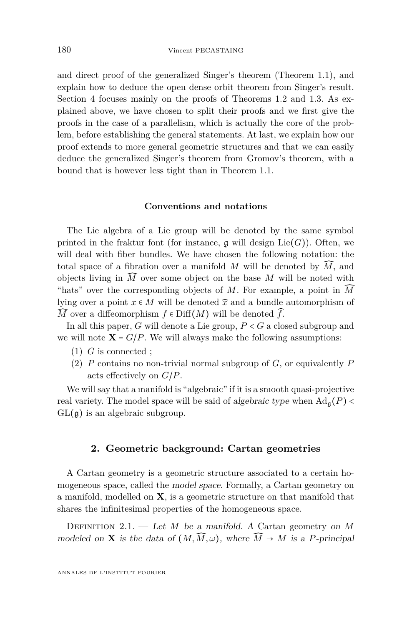and direct proof of the generalized Singer's theorem (Theorem [1.1\)](#page-3-0), and explain how to deduce the open dense orbit theorem from Singer's result. Section [4](#page-17-0) focuses mainly on the proofs of Theorems [1.2](#page-5-0) and [1.3.](#page-5-1) As explained above, we have chosen to split their proofs and we first give the proofs in the case of a parallelism, which is actually the core of the problem, before establishing the general statements. At last, we explain how our proof extends to more general geometric structures and that we can easily deduce the generalized Singer's theorem from Gromov's theorem, with a bound that is however less tight than in Theorem [1.1.](#page-3-0)

#### **Conventions and notations**

The Lie algebra of a Lie group will be denoted by the same symbol printed in the fraktur font (for instance,  $\mathfrak g$  will design Lie(*G*)). Often, we will deal with fiber bundles. We have chosen the following notation: the total space of a fibration over a manifold *M* will be denoted by  $\widehat{M}$ , and objects living in  $\widehat{M}$  over some object on the base  $M$  will be noted with "hats" over the corresponding objects of *M*. For example, a point in *M*̂ lying over a point  $x \in M$  will be denoted  $\hat{x}$  and a bundle automorphism of  $\widehat{M}$  over a diffeomorphism  $f \in \text{Diff}(M)$  will be denoted  $\widehat{f}$ .

In all this paper, *G* will denote a Lie group, *P* < *G* a closed subgroup and we will note  $X = G/P$ . We will always make the following assumptions:

- (1) *G* is connected ;
- (2) *P* contains no non-trivial normal subgroup of *G*, or equivalently *P* acts effectively on *G*/*P*.

We will say that a manifold is "algebraic" if it is a smooth quasi-projective real variety. The model space will be said of algebraic type when  $\text{Ad}_{q}(P)$  <  $GL(\mathfrak{g})$  is an algebraic subgroup.

#### **2. Geometric background: Cartan geometries**

<span id="page-6-0"></span>A Cartan geometry is a geometric structure associated to a certain homogeneous space, called the model space. Formally, a Cartan geometry on a manifold, modelled on **X**, is a geometric structure on that manifold that shares the infinitesimal properties of the homogeneous space.

<span id="page-6-1"></span>Definition 2.1. — Let *M* be a manifold. A Cartan geometry on *M* modeled on **X** is the data of  $(M, \widehat{M}, \omega)$ , where  $\widehat{M} \to M$  is a *P*-principal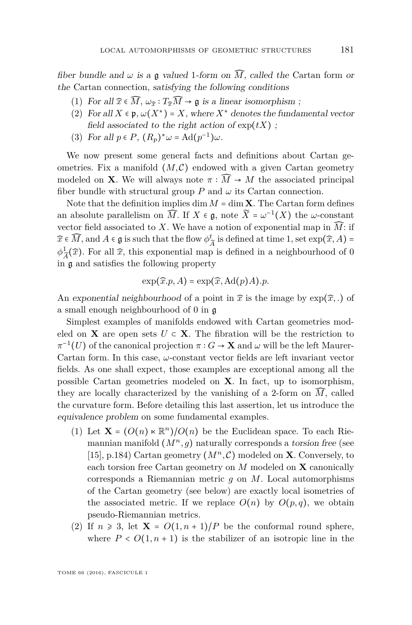fiber bundle and  $\omega$  is a g valued 1-form on  $\widehat{M}$ , called the Cartan form or the Cartan connection, satisfying the following conditions

- (1) For all  $\widehat{x} \in \widehat{M}$ ,  $\omega_{\widehat{x}} : T_{\widehat{x}}\widehat{M} \to \mathfrak{g}$  is a linear isomorphism;
- (2) For all  $X \in \mathfrak{p}$ ,  $\omega(X^*) = X$ , where  $X^*$  denotes the fundamental vector field associated to the right action of  $\exp(tX)$ :
- (3) For all  $p \in P$ ,  $(R_p)^* \omega = \text{Ad}(p^{-1}) \omega$ .

We now present some general facts and definitions about Cartan geometries. Fix a manifold  $(M, \mathcal{C})$  endowed with a given Cartan geometry modeled on **X**. We will always note  $\pi : \widehat{M} \to M$  the associated principal fiber bundle with structural group  $P$  and  $\omega$  its Cartan connection.

Note that the definition implies  $\dim M = \dim X$ . The Cartan form defines an absolute parallelism on  $\widehat{M}$ . If  $X \in \mathfrak{g}$ , note  $\widetilde{X} = \omega^{-1}(X)$  the  $\omega$ -constant vector field associated to *X*. We have a notion of exponential map in  $\widehat{M}$ : if  $\widehat{x} \in \widehat{M}$ , and  $A \in \mathfrak{g}$  is such that the flow  $\phi_i^t$  $\frac{t}{\widetilde{A}}$  is defined at time 1, set  $\exp(\widehat{x}, A)$  =  $\phi^1$  $A_{\tilde{A}}^{\perp}(\hat{x})$ . For all  $\hat{x}$ , this exponential map is defined in a neighbourhood of 0 in g and satisfies the following property

$$
\exp(\widehat{x}.p, A) = \exp(\widehat{x}, \mathrm{Ad}(p)A).p.
$$

An exponential neighbourhood of a point in  $\hat{x}$  is the image by  $\exp(\hat{x},.)$  of a small enough neighbourhood of 0 in g

Simplest examples of manifolds endowed with Cartan geometries modeled on **X** are open sets  $U \subset \mathbf{X}$ . The fibration will be the restriction to  $\pi^{-1}(U)$  of the canonical projection  $\pi: G \to \mathbf{X}$  and  $\omega$  will be the left Maurer-Cartan form. In this case, *ω*-constant vector fields are left invariant vector fields. As one shall expect, those examples are exceptional among all the possible Cartan geometries modeled on **X**. In fact, up to isomorphism, they are locally characterized by the vanishing of a 2-form on  $\widehat{M}$ , called the curvature form. Before detailing this last assertion, let us introduce the equivalence problem on some fundamental examples.

- (1) Let  $\mathbf{X} = (O(n) \times \mathbb{R}^n)/O(n)$  be the Euclidean space. To each Riemannian manifold  $(M^n, g)$  naturally corresponds a torsion free (see [\[15\]](#page-34-6), p.184) Cartan geometry  $(M^n, \mathcal{C})$  modeled on **X**. Conversely, to each torsion free Cartan geometry on *M* modeled on **X** canonically corresponds a Riemannian metric *g* on *M*. Local automorphisms of the Cartan geometry (see below) are exactly local isometries of the associated metric. If we replace  $O(n)$  by  $O(p,q)$ , we obtain pseudo-Riemannian metrics.
- (2) If  $n \geq 3$ , let  $X = O(1, n + 1)/P$  be the conformal round sphere, where  $P < O(1, n + 1)$  is the stabilizer of an isotropic line in the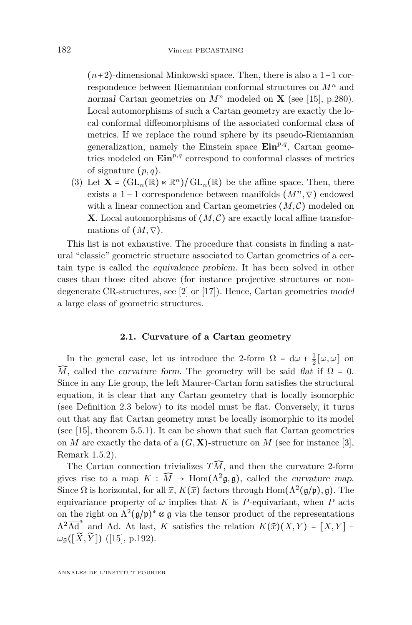(*n*+2)-dimensional Minkowski space. Then, there is also a 1−1 correspondence between Riemannian conformal structures on *M<sup>n</sup>* and normal Cartan geometries on  $M^n$  modeled on **X** (see [\[15\]](#page-34-6), p.280). Local automorphisms of such a Cartan geometry are exactly the local conformal diffeomorphisms of the associated conformal class of metrics. If we replace the round sphere by its pseudo-Riemannian generalization, namely the Einstein space  $\text{Ein}^{p,q}$ , Cartan geometries modeled on  $\text{Ein}^{p,q}$  correspond to conformal classes of metrics of signature (*p, q*).

(3) Let  $\mathbf{X} = (\mathrm{GL}_n(\mathbb{R}) \times \mathbb{R}^n)/\mathrm{GL}_n(\mathbb{R})$  be the affine space. Then, there exists a 1 − 1 correspondence between manifolds (*M<sup>n</sup> ,*∇) endowed with a linear connection and Cartan geometries  $(M, \mathcal{C})$  modeled on **X**. Local automorphisms of  $(M, \mathcal{C})$  are exactly local affine transformations of  $(M, \nabla)$ .

This list is not exhaustive. The procedure that consists in finding a natural "classic" geometric structure associated to Cartan geometries of a certain type is called the equivalence problem. It has been solved in other cases than those cited above (for instance projective structures or nondegenerate CR-structures, see [\[2\]](#page-33-1) or [\[17\]](#page-34-10)). Hence, Cartan geometries model a large class of geometric structures.

#### **2.1. Curvature of a Cartan geometry**

In the general case, let us introduce the 2-form  $\Omega = d\omega + \frac{1}{2}[\omega, \omega]$  on  $\widehat{M}$ , called the *curvature form*. The geometry will be said *flat* if  $\Omega = 0$ . Since in any Lie group, the left Maurer-Cartan form satisfies the structural equation, it is clear that any Cartan geometry that is locally isomorphic (see Definition [2.3](#page-9-0) below) to its model must be flat. Conversely, it turns out that any flat Cartan geometry must be locally isomorphic to its model (see [\[15\]](#page-34-6), theorem 5.5.1). It can be shown that such flat Cartan geometries on *M* are exactly the data of a  $(G, \mathbf{X})$ -structure on *M* (see for instance [\[3\]](#page-33-2), Remark 1.5.2).

The Cartan connection trivializes  $T\widehat{M}$ , and then the curvature 2-form gives rise to a map  $K : \widehat{M} \to \text{Hom}(\Lambda^2 \mathfrak{g}, \mathfrak{g})$ , called the *curvature map*. Since  $\Omega$  is horizontal, for all  $\widehat{x}$ ,  $K(\widehat{x})$  factors through  $\text{Hom}(\Lambda^2(\mathfrak{g}/\mathfrak{p}), \mathfrak{g})$ . The equivariance property of  $\omega$  implies that *K* is *P*-equivariant, when *P* acts on the right on  $\Lambda^2(\mathfrak{g}/\mathfrak{p})^* \otimes \mathfrak{g}$  via the tensor product of the representations  $\Lambda^2 \overline{\mathrm{Ad}}^*$  and Ad. At last, *K* satisfies the relation  $K(\widehat{x})(X,Y) = [X,Y] \omega_{\widetilde{x}}([\widetilde{X}, \widetilde{Y}])$  ([\[15\]](#page-34-6), p.192).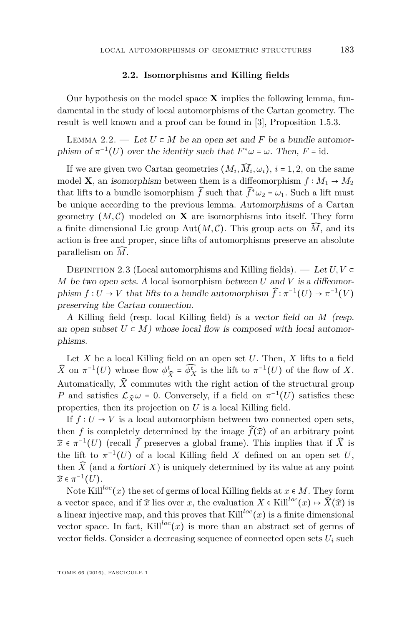#### **2.2. Isomorphisms and Killing fields**

Our hypothesis on the model space **X** implies the following lemma, fundamental in the study of local automorphisms of the Cartan geometry. The result is well known and a proof can be found in [\[3\]](#page-33-2), Proposition 1.5.3.

LEMMA 2.2. — Let  $U \subset M$  be an open set and F be a bundle automorphism of  $\pi^{-1}(U)$  over the identity such that  $F^*\omega = \omega$ . Then,  $F = id$ .

If we are given two Cartan geometries  $(M_i, \widehat{M}_i, \omega_i)$ ,  $i = 1, 2$ , on the same model **X**, an isomorphism between them is a diffeomorphism  $f : M_1 \rightarrow M_2$ that lifts to a bundle isomorphism  $\widehat{f}$  such that  $\widehat{f}^*\omega_2 = \omega_1$ . Such a lift must be unique according to the previous lemma. Automorphisms of a Cartan geometry  $(M, \mathcal{C})$  modeled on **X** are isomorphisms into itself. They form a finite dimensional Lie group Aut $(M, \mathcal{C})$ . This group acts on  $\widehat{M}$ , and its action is free and proper, since lifts of automorphisms preserve an absolute parallelism on *M*̂.

<span id="page-9-0"></span>DEFINITION 2.3 (Local automorphisms and Killing fields). — Let  $U, V \subset$ *M* be two open sets. A local isomorphism between *U* and *V* is a diffeomorphism  $f: U \to V$  that lifts to a bundle automorphism  $\widehat{f}: \pi^{-1}(U) \to \pi^{-1}(V)$ preserving the Cartan connection.

A Killing field (resp. local Killing field) is a vector field on *M* (resp. an open subset  $U \subset M$ ) whose local flow is composed with local automorphisms.

Let *X* be a local Killing field on an open set *U*. Then, *X* lifts to a field  $\widehat{X}$  on  $\pi^{-1}(U)$  whose flow  $\phi_{\widehat{X}}^t = \widehat{\phi_X^t}$  is the lift to  $\pi^{-1}(U)$  of the flow of *X*. Automatically,  $\widehat{X}$  commutes with the right action of the structural group *P* and satisfies  $\mathcal{L}_{\widehat{X}}\omega = 0$ . Conversely, if a field on  $\pi^{-1}(U)$  satisfies these properties, then its projection on *U* is a local Killing field.

If  $f: U \to V$  is a local automorphism between two connected open sets, then *f* is completely determined by the image  $\widehat{f}(\widehat{x})$  of an arbitrary point  $\widehat{x} \in \pi^{-1}(U)$  (recall  $\widehat{f}$  preserves a global frame). This implies that if  $\widehat{X}$  is the lift to  $\pi^{-1}(U)$  of a local Killing field *X* defined on an open set *U*, then  $\widehat{X}$  (and a fortiori X) is uniquely determined by its value at any point  $\widehat{x} \in \pi^{-1}(U)$ .

Note Kill<sup>loc</sup>(*x*) the set of germs of local Killing fields at  $x \in M$ . They form a vector space, and if  $\hat{x}$  lies over *x*, the evaluation  $X \in$  Kill<sup>loc</sup> $(x) \mapsto \hat{X}(\hat{x})$  is a linear injective map, and this proves that  $\text{Kill}^{loc}(x)$  is a finite dimensional vector space. In fact, Kill<sup>loc</sup>(*x*) is more than an abstract set of germs of vector fields. Consider a decreasing sequence of connected open sets  $U_i$  such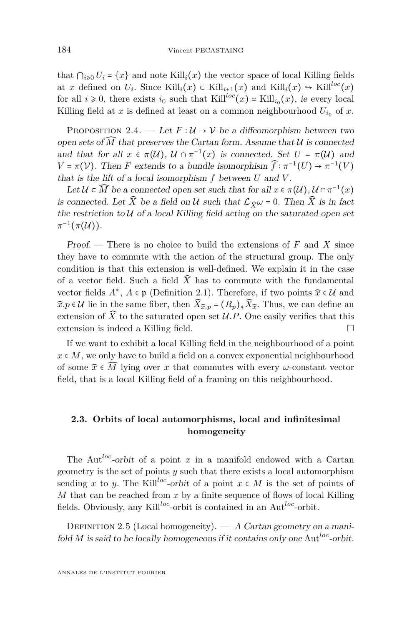that  $\bigcap_{i\geq 0} U_i = \{x\}$  and note  $\text{Kill}_i(x)$  the vector space of local Killing fields at *x* defined on  $U_i$ . Since Kill $_i(x) \in$  Kill $i_{i+1}(x)$  and Kill $_i(x) \rightarrow$  Kill $i^{loc}(x)$ for all  $i \ge 0$ , there exists  $i_0$  such that  $\text{Kill}^{loc}(x) \simeq \text{Kill}_{i_0}(x)$ , ie every local Killing field at *x* is defined at least on a common neighbourhood  $U_{i_0}$  of *x*.

<span id="page-10-1"></span>PROPOSITION 2.4. — Let  $F: U \rightarrow V$  be a diffeomorphism between two open sets of  $\widehat{M}$  that preserves the Cartan form. Assume that  $\mathcal U$  is connected and that for all  $x \in \pi(\mathcal{U})$ ,  $\mathcal{U} \cap \pi^{-1}(x)$  is connected. Set  $U = \pi(\mathcal{U})$  and  $V = \pi(V)$ . Then *F* extends to a bundle isomorphism  $\widehat{f}: \pi^{-1}(U) \to \pi^{-1}(V)$ that is the lift of a local isomorphism *f* between *U* and *V* .

Let  $\mathcal{U} \subset \widehat{M}$  be a connected open set such that for all  $x \in \pi(\mathcal{U}), \mathcal{U} \cap \pi^{-1}(x)$ is connected. Let  $\widehat{X}$  be a field on U such that  $\mathcal{L}_{\widehat{X}}\omega = 0$ . Then  $\widehat{X}$  is in fact the restriction to  $U$  of a local Killing field acting on the saturated open set  $\pi^{-1}(\pi({\mathcal U})).$ 

Proof. — There is no choice to build the extensions of *F* and *X* since they have to commute with the action of the structural group. The only condition is that this extension is well-defined. We explain it in the case of a vector field. Such a field  $\widehat{X}$  has to commute with the fundamental vector fields  $A^*$ ,  $A \in \mathfrak{p}$  (Definition [2.1\)](#page-6-1). Therefore, if two points  $\widehat{x} \in \mathcal{U}$  and  $\widehat{x} \cdot p \in \mathcal{U}$  lie in the same fiber, then  $\widehat{X}_{\widehat{x},p} = (R_p)_* \widehat{X}_{\widehat{x}}$ . Thus, we can define an extension of  $\widehat{X}$  to the saturated open set  $\mathcal{U}.P$ . One easily verifies that this extension is indeed a Killing field.

If we want to exhibit a local Killing field in the neighbourhood of a point  $x \in M$ , we only have to build a field on a convex exponential neighbourhood of some  $\hat{x} \in \widehat{M}$  lying over *x* that commutes with every *ω*-constant vector field, that is a local Killing field of a framing on this neighbourhood.

#### <span id="page-10-0"></span>**2.3. Orbits of local automorphisms, local and infinitesimal homogeneity**

The Aut*loc*-orbit of a point *x* in a manifold endowed with a Cartan geometry is the set of points *y* such that there exists a local automorphism sending *x* to *y*. The Kill<sup>loc</sup>-orbit of a point  $x \in M$  is the set of points of *M* that can be reached from *x* by a finite sequence of flows of local Killing fields. Obviously, any Kill*loc*-orbit is contained in an Aut*loc*-orbit.

DEFINITION 2.5 (Local homogeneity).  $- A$  Cartan geometry on a manifold *M* is said to be locally homogeneous if it contains only one Aut*loc*-orbit.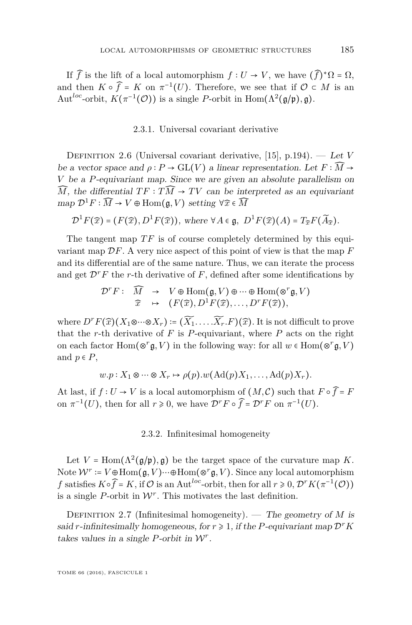If  $\widehat{f}$  is the lift of a local automorphism  $f: U \to V$ , we have  $(\widehat{f})^* \Omega = \Omega$ , and then  $K \circ \widehat{f} = K$  on  $\pi^{-1}(U)$ . Therefore, we see that if  $\mathcal{O} \subset M$  is an Aut<sup>loc</sup>-orbit,  $K(\pi^{-1}(\mathcal{O}))$  is a single *P*-orbit in Hom $(\Lambda^2(\mathfrak{g}/\mathfrak{p}), \mathfrak{g})$ .

#### 2.3.1. Universal covariant derivative

<span id="page-11-1"></span>Definition 2.6 (Universal covariant derivative, [\[15\]](#page-34-6), p.194). — Let *V* be a vector space and  $\rho : P \to GL(V)$  a linear representation. Let  $F : \widehat{M} \to$ *V* be a *P*-equivariant map. Since we are given an absolute parallelism on  $\widehat{M}$ , the differential  $TF : T\widehat{M} \to TV$  can be interpreted as an equivariant map  $\mathcal{D}^1 F : \widehat{M} \to V \oplus \text{Hom}(\mathfrak{g}, V)$  setting  $\forall \widehat{x} \in \widehat{M}$ 

$$
\mathcal{D}^1 F(\widehat{x}) = (F(\widehat{x}), D^1 F(\widehat{x})), \text{ where } \forall A \in \mathfrak{g}, D^1 F(\widehat{x}) (A) = T_{\widehat{x}} F(\widetilde{A}_{\widehat{x}}).
$$

The tangent map  $TF$  is of course completely determined by this equivariant map D*F*. A very nice aspect of this point of view is that the map *F* and its differential are of the same nature. Thus, we can iterate the process and get  $\mathcal{D}^r F$  the *r*-th derivative of  $F$ , defined after some identifications by

$$
\mathcal{D}^r F: \widehat{M} \rightarrow V \oplus \text{Hom}(\mathfrak{g}, V) \oplus \cdots \oplus \text{Hom}(\otimes^r \mathfrak{g}, V) \n\widehat{x} \mapsto (F(\widehat{x}), D^1 F(\widehat{x}), \ldots, D^r F(\widehat{x})),
$$

where  $D^r F(\hat{x}) (X_1 \otimes \cdots \otimes X_r) := (\widetilde{X_1} \ldots \widetilde{X_r} \cdot F)(\hat{x})$ . It is not difficult to prove that the  $r$ -th derivative of  $F$  is  $P$ -equivariant, where  $P$  acts on the right on each factor  $\text{Hom}(\otimes^r \mathfrak{g}, V)$  in the following way: for all  $w \in \text{Hom}(\otimes^r \mathfrak{g}, V)$ and  $p \in P$ ,

$$
w.p: X_1 \otimes \cdots \otimes X_r \mapsto \rho(p).w(\mathrm{Ad}(p)X_1, \ldots, \mathrm{Ad}(p)X_r).
$$

At last, if  $f: U \to V$  is a local automorphism of  $(M, \mathcal{C})$  such that  $F \circ \hat{f} = F$ on  $\pi^{-1}(U)$ , then for all  $r \ge 0$ , we have  $\mathcal{D}^r F \circ \widehat{f} = \mathcal{D}^r F$  on  $\pi^{-1}(U)$ .

#### 2.3.2. Infinitesimal homogeneity

Let  $V = \text{Hom}(\Lambda^2(\mathfrak{g}/\mathfrak{p}), \mathfrak{g})$  be the target space of the curvature map *K*. Note  $W^r = V \oplus \text{Hom}(\mathfrak{g}, V) \cdots \oplus \text{Hom}(\otimes^r \mathfrak{g}, V)$ . Since any local automorphism *f* satisfies  $K \circ \hat{f} = K$ , if  $\mathcal{O}$  is an Aut<sup>loc</sup>-orbit, then for all  $r \ge 0$ ,  $\mathcal{D}^r K(\pi^{-1}(\mathcal{O}))$ is a single  $P$ -orbit in  $W<sup>r</sup>$ . This motivates the last definition.

<span id="page-11-0"></span>DEFINITION 2.7 (Infinitesimal homogeneity). — The geometry of *M* is said *r*-infinitesimally homogeneous, for  $r \geq 1$ , if the *P*-equivariant map  $\mathcal{D}^r K$ takes values in a single *P*-orbit in  $W<sup>r</sup>$ .

TOME 66 (2016), FASCICULE 1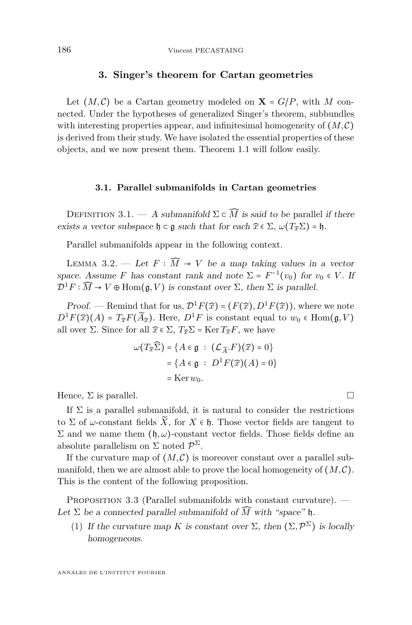#### **3. Singer's theorem for Cartan geometries**

<span id="page-12-0"></span>Let  $(M, \mathcal{C})$  be a Cartan geometry modeled on  $X = G/P$ , with M connected. Under the hypotheses of generalized Singer's theorem, subbundles with interesting properties appear, and infinitesimal homogeneity of  $(M, \mathcal{C})$ is derived from their study. We have isolated the essential properties of these objects, and we now present them. Theorem [1.1](#page-3-0) will follow easily.

#### **3.1. Parallel submanifolds in Cartan geometries**

DEFINITION 3.1. — A submanifold  $\Sigma \subset \widehat{M}$  is said to be parallel if there exists a vector subspace  $\mathfrak{h} \subset \mathfrak{g}$  such that for each  $\widehat{x} \in \Sigma$ ,  $\omega(T_{\widehat{x}}\Sigma) = \mathfrak{h}$ .

Parallel submanifolds appear in the following context.

<span id="page-12-1"></span>LEMMA 3.2. — Let  $F : \widehat{M} \to V$  be a map taking values in a vector space. Assume *F* has constant rank and note  $\Sigma = F^{-1}(v_0)$  for  $v_0 \in V$ . If  $\mathcal{D}^1 F : \widehat{M} \to V \oplus \text{Hom}(\mathfrak{g}, V)$  is constant over  $\Sigma$ , then  $\Sigma$  is parallel.

Proof. — Remind that for us,  $\mathcal{D}^1 F(\widehat{x}) = (F(\widehat{x}), D^1 F(\widehat{x}))$ , where we note  $D^1F(\hat{x})$ (*A*) =  $T_{\hat{x}}F(\widetilde{A}_{\hat{x}})$ . Here,  $D^1F$  is constant equal to  $w_0 \in \text{Hom}(\mathfrak{g}, V)$ all over  $\Sigma$ . Since for all  $\widehat{x} \in \Sigma$ ,  $T_{\widehat{x}}\Sigma = \text{Ker } T_{\widehat{x}}F$ , we have

$$
\omega(T_{\widehat{x}}\widehat{\Sigma}) = \{A \in \mathfrak{g} : (\mathcal{L}_{\widetilde{A}}, F)(\widehat{x}) = 0\}
$$

$$
= \{A \in \mathfrak{g} : D^1 F(\widehat{x})(A) = 0\}
$$

$$
= \text{Ker } w_0.
$$

Hence,  $\Sigma$  is parallel.

If  $\Sigma$  is a parallel submanifold, it is natural to consider the restrictions to  $\Sigma$  of  $\omega$ -constant fields  $\widetilde{X}$ , for  $X \in \mathfrak{h}$ . Those vector fields are tangent to  $\Sigma$  and we name them (h, ω)-constant vector fields. Those fields define an absolute parallelism on  $\Sigma$  noted  $\mathcal{P}^{\Sigma}$ .

If the curvature map of  $(M, \mathcal{C})$  is moreover constant over a parallel submanifold, then we are almost able to prove the local homogeneity of  $(M, \mathcal{C})$ . This is the content of the following proposition.

<span id="page-12-2"></span>PROPOSITION 3.3 (Parallel submanifolds with constant curvature). — Let  $\Sigma$  be a connected parallel submanifold of  $\widehat{M}$  with "space" h.

(1) If the curvature map *K* is constant over  $\Sigma$ , then  $(\Sigma, \mathcal{P}^{\Sigma})$  is locally homogeneous.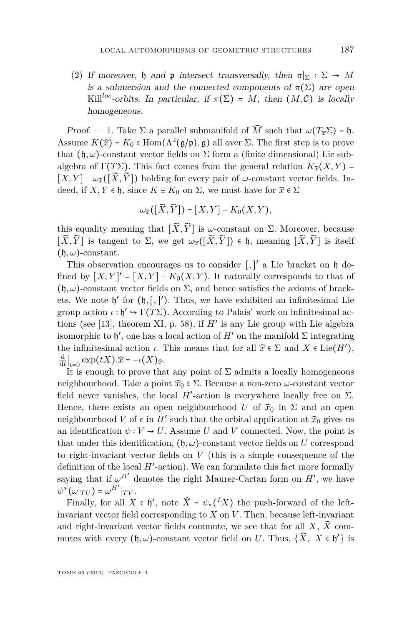(2) If moreover, h and p intersect transversally, then  $\pi|_{\Sigma} : \Sigma \to M$ is a submersion and the connected components of  $\pi(\Sigma)$  are open Kill<sup>loc</sup>-orbits. In particular, if  $\pi(\Sigma) = M$ , then  $(M, \mathcal{C})$  is locally homogeneous.

Proof. — 1. Take  $\Sigma$  a parallel submanifold of  $\widehat{M}$  such that  $\omega(T_{\widehat{\tau}}\Sigma) = \mathfrak{h}$ . Assume  $K(\hat{x}) = K_0 \in \text{Hom}(\Lambda^2(\mathfrak{g}/\mathfrak{p}), \mathfrak{g})$  all over  $\Sigma$ . The first step is to prove that  $(\mathfrak{h}, \omega)$ -constant vector fields on  $\Sigma$  form a (finite dimensional) Lie subalgebra of  $\Gamma(T\Sigma)$ . This fact comes from the general relation  $K_{\widehat{x}}(X,Y)$  =  $[X, Y] - \omega_{\widehat{x}}([\widetilde{X}, \widetilde{Y}])$  holding for every pair of  $\omega$ -constant vector fields. Indeed, if  $X, Y \in \mathfrak{h}$ , since  $K \equiv K_0$  on  $\Sigma$ , we must have for  $\widehat{x} \in \Sigma$ 

$$
\omega_{\widehat{x}}([\widetilde{X},\widetilde{Y}])=[X,Y]-K_0(X,Y),
$$

this equality meaning that  $[\widetilde{X}, \widetilde{Y}]$  is *ω*-constant on  $\Sigma$ . Moreover, because  $[\widetilde{X}, \widetilde{Y}]$  is tangent to  $\Sigma$ , we get  $\omega_{\widehat{x}}([\widetilde{X}, \widetilde{Y}]) \in \mathfrak{h}$ , meaning  $[\widetilde{X}, \widetilde{Y}]$  is itself  $(h, \omega)$ -constant.

This observation encourages us to consider [,]' a Lie bracket on  $\mathfrak h$  defined by  $[X, Y]' = [X, Y] - K_0(X, Y)$ . It naturally corresponds to that of  $(h, \omega)$ -constant vector fields on  $\Sigma$ , and hence satisfies the axioms of brackets. We note  $\mathfrak{h}'$  for  $(\mathfrak{h}, [, ]')$ . Thus, we have exhibited an infinitesimal Lie group action  $\iota : \mathfrak{h}' \to \Gamma(T\Sigma)$ . According to Palais' work on infinitesimal actions (see [\[13\]](#page-34-11), theorem XI, p. 58), if *H*′ is any Lie group with Lie algebra isomorphic to  $\mathfrak{h}'$ , one has a local action of  $H'$  on the manifold  $\Sigma$  integrating the infinitesimal action *ι*. This means that for all  $\hat{x} \in \Sigma$  and  $X \in \text{Lie}(H'),$  $\frac{d}{dt}\Big|_{t=0} \exp(tX).\widehat{x} = -\iota(X)\widehat{x}.$ 

*t*<sub> $t=0$ </sub>  $\sum_{t=0}^{t+1}$  (ετέλλες του τρατικό τηλεία). It is enough to prove that any point of Σ admits a locally homogeneous neighbourhood. Take a point  $\widehat{x}_0 \in \Sigma$ . Because a non-zero *ω*-constant vector field never vanishes, the local  $H'$ -action is everywhere locally free on  $\Sigma$ . Hence, there exists an open neighbourhood *U* of  $\widehat{x}_0$  in  $\Sigma$  and an open neighbourhood *V* of *e* in  $H'$  such that the orbital application at  $\widehat{x}_0$  gives us an identification  $\psi : V \to U$ . Assume *U* and *V* connected. Now, the point is that under this identification,  $(h, \omega)$ -constant vector fields on *U* correspond to right-invariant vector fields on *V* (this is a simple consequence of the definition of the local *H*′ -action). We can formulate this fact more formally saying that if  $\omega^{H'}$  denotes the right Maurer-Cartan form on  $H'$ , we have  $\psi^*(\omega|_{TU}) = \omega^{H'}|_{TV}.$ 

Finally, for all  $X \in \mathfrak{h}'$ , note  $\widehat{X} = \psi_*(LX)$  the push-forward of the leftinvariant vector field corresponding to *X* on *V* . Then, because left-invariant and right-invariant vector fields commute, we see that for all  $X$ ,  $\widehat{X}$  commutes with every  $(\mathfrak{h}, \omega)$ -constant vector field on *U*. Thus,  $\{\widehat{X}, X \in \mathfrak{h}'\}$  is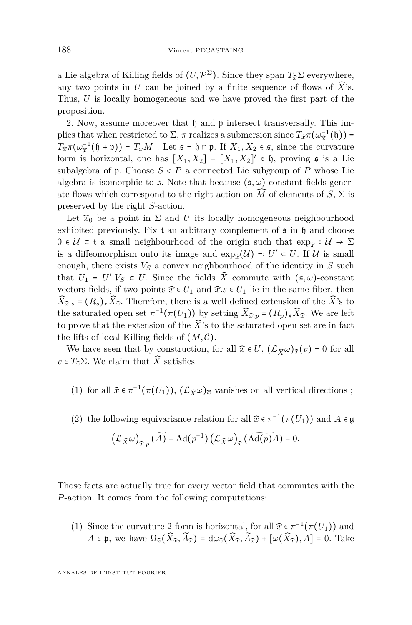a Lie algebra of Killing fields of  $(U, \mathcal{P}^{\Sigma})$ . Since they span  $T_{\widehat{x}}\Sigma$  everywhere, any two points in *U* can be joined by a finite sequence of flows of  $\widehat{X}$ 's. Thus, *U* is locally homogeneous and we have proved the first part of the proposition.

2. Now, assume moreover that  $\mathfrak h$  and  $\mathfrak p$  intersect transversally. This implies that when restricted to  $\Sigma$ ,  $\pi$  realizes a submersion since  $T_{\hat{x}}\pi(\omega_{\hat{x}}^{-1}(\mathfrak{h}))$  =  $T_{\tilde{x}}$ <sup>π</sup>( $\omega_{\tilde{x}}^{-1}$ (h + p)) =  $T_xM$ . Let  $\mathfrak{s} = \mathfrak{h} \cap \mathfrak{p}$ . If  $X_1, X_2 \in \mathfrak{s}$ , since the curvature form is horizontal, one has  $[X_1, X_2] = [X_1, X_2]' \in \mathfrak{h}$ , proving  $\mathfrak s$  is a Lie subalgebra of  $\mathfrak p$ . Choose  $S < P$  a connected Lie subgroup of  $P$  whose Lie algebra is isomorphic to  $\epsilon$ . Note that because  $(\epsilon, \omega)$ -constant fields generate flows which correspond to the right action on  $\widehat{M}$  of elements of *S*,  $\Sigma$  is preserved by the right *S*-action.

Let  $\hat{x}_0$  be a point in  $\Sigma$  and U its locally homogeneous neighbourhood exhibited previously. Fix t an arbitrary complement of  $\mathfrak s$  in  $\mathfrak h$  and choose 0 ∈ U ⊂ t a small neighbourhood of the origin such that  $\exp_{\widehat{x}} : U \to \Sigma$ is a diffeomorphism onto its image and  $\exp_{\widehat{x}}(\mathcal{U}) =: U' \subset U$ . If  $\mathcal{U}$  is small enough, there exists  $V_S$  a convex neighbourhood of the identity in  $S$  such that  $U_1 = U'.V_S \subset U$ . Since the fields  $\widehat{X}$  commute with  $(\mathfrak{s}, \omega)$ -constant vectors fields, if two points  $\hat{x} \in U_1$  and  $\hat{x}.s \in U_1$  lie in the same fiber, then  $\widehat{X}_{\widehat{x}.s} = (R_s)_*\widehat{X}_{\widehat{x}}$ . Therefore, there is a well defined extension of the  $\widehat{X}$ 's to the saturated open set  $\pi^{-1}(\pi(U_1))$  by setting  $\widehat{X}_{\widehat{x},p} = (R_p)_*\widehat{X}_{\widehat{x}}$ . We are left to prove that the extension of the  $\widehat{X}$ 's to the saturated open set are in fact the lifts of local Killing fields of  $(M, \mathcal{C})$ .

We have seen that by construction, for all  $\hat{x} \in U$ ,  $(\mathcal{L}_{\hat{X}}\omega)_{\hat{x}}(v) = 0$  for all  $v \in T_{\widehat{x}}\Sigma$ . We claim that  $\widehat{X}$  satisfies

(1) for all  $\hat{x} \in \pi^{-1}(\pi(U_1)),$   $(\mathcal{L}_{\hat{X}} \omega)_{\hat{x}}$  vanishes on all vertical directions ;

(2) the following equivariance relation for all  $\hat{x} \in \pi^{-1}(\pi(U_1))$  and  $A \in \mathfrak{g}$ 

$$
\left(\mathcal{L}_{\widehat{X}}\omega\right)_{\widehat{x},p}(\widetilde{A})=\mathrm{Ad}(p^{-1})\left(\mathcal{L}_{\widehat{X}}\omega\right)_{\widehat{x}}(\widehat{\mathrm{Ad}(p)}A)=0.
$$

Those facts are actually true for every vector field that commutes with the *P*-action. It comes from the following computations:

(1) Since the curvature 2-form is horizontal, for all  $\hat{x} \in \pi^{-1}(\pi(U_1))$  and  $A \in \mathfrak{p}$ , we have  $\Omega_{\widehat{x}}(\widehat{X}_{\widehat{x}}, \widetilde{A}_{\widehat{x}}) = d\omega_{\widehat{x}}(\widehat{X}_{\widehat{x}}, \widetilde{A}_{\widehat{x}}) + [\omega(\widehat{X}_{\widehat{x}}), A] = 0$ . Take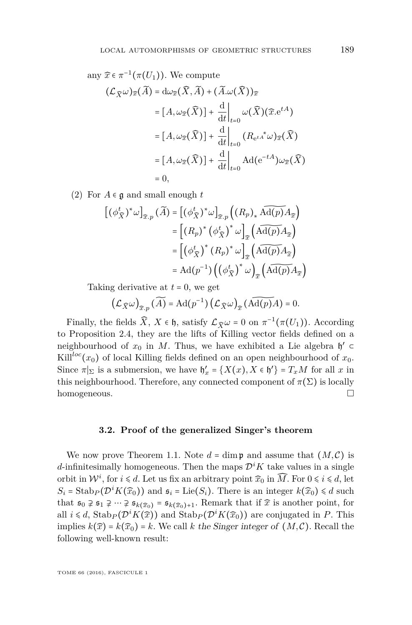any 
$$
\widehat{x} \in \pi^{-1}(\pi(U_1))
$$
. We compute  
\n
$$
(\mathcal{L}_{\widehat{X}}\omega)_{\widehat{x}}(\widetilde{A}) = d\omega_{\widehat{x}}(\widehat{X}, \widetilde{A}) + (\widetilde{A}.\omega(\widehat{X}))_{\widehat{x}}
$$
\n
$$
= [A, \omega_{\widehat{x}}(\widehat{X})] + \frac{d}{dt}\Big|_{t=0} \omega(\widehat{X})(\widehat{x} \cdot e^{tA})
$$
\n
$$
= [A, \omega_{\widehat{x}}(\widehat{X})] + \frac{d}{dt}\Big|_{t=0} (R_{e^{tA^*}\omega})_{\widehat{x}}(\widehat{X})
$$
\n
$$
= [A, \omega_{\widehat{x}}(\widehat{X})] + \frac{d}{dt}\Big|_{t=0} Ad(e^{-tA})\omega_{\widehat{x}}(\widehat{X})
$$
\n
$$
= 0,
$$

(2) For  $A \in \mathfrak{g}$  and small enough  $t$ 

$$
[(\phi_{\widehat{X}}^t)^* \omega]_{\widehat{x},p} (\widetilde{A}) = [(\phi_{\widehat{X}}^t)^* \omega]_{\widehat{x},p} ((R_p)_* \widetilde{\mathrm{Ad}(p)} A_{\widehat{x}})
$$
  
\n
$$
= [(R_p)^* (\phi_{\widehat{X}}^t)^* \omega]_{\widehat{x}} (\widetilde{\mathrm{Ad}(p)} A_{\widehat{x}})
$$
  
\n
$$
= [(\phi_{\widehat{X}}^t)^* (R_p)^* \omega]_{\widehat{x}} (\widetilde{\mathrm{Ad}(p)} A_{\widehat{x}})
$$
  
\n
$$
= \mathrm{Ad}(p^{-1}) ((\phi_{\widehat{X}}^t)^* \omega)_{\widehat{x}} (\widetilde{\mathrm{Ad}(p)} A_{\widehat{x}})
$$

Taking derivative at *t* = 0, we get

$$
\left(\mathcal{L}_{\widehat{X}}\omega\right)_{\widehat{x},p}(\widetilde{A})=\mathrm{Ad}(p^{-1})\left(\mathcal{L}_{\widehat{X}}\omega\right)_{\widehat{x}}(\widetilde{\mathrm{Ad}(p)}A)=0.
$$

Finally, the fields  $\widehat{X}$ ,  $X \in \mathfrak{h}$ , satisfy  $\mathcal{L}_{\widehat{X}} \omega = 0$  on  $\pi^{-1}(\pi(U_1))$ . According to Proposition [2.4,](#page-10-1) they are the lifts of Killing vector fields defined on a neighbourhood of  $x_0$  in M. Thus, we have exhibited a Lie algebra  $\mathfrak{h}' \subset$ Kill<sup>loc</sup>(*x*<sub>0</sub>) of local Killing fields defined on an open neighbourhood of *x*<sub>0</sub>. Since  $\pi|_{\Sigma}$  is a submersion, we have  $\mathfrak{h}'_x = \{X(x), X \in \mathfrak{h}'\} = T_xM$  for all x in this neighbourhood. Therefore, any connected component of  $\pi(\Sigma)$  is locally homogeneous.

#### **3.2. Proof of the generalized Singer's theorem**

We now prove Theorem [1.1.](#page-3-0) Note  $d = \dim \mathfrak{p}$  and assume that  $(M, \mathcal{C})$  is *d*-infinitesimally homogeneous. Then the maps  $\mathcal{D}^i K$  take values in a single orbit in  $\mathcal{W}^i$ , for  $i \le d$ . Let us fix an arbitrary point  $\widehat{x}_0$  in  $\widehat{M}$ . For  $0 \le i \le d$ , let  $S_i =$ Stab<sub>*P*</sub>( $\mathcal{D}^i K(\hat{x}_0)$ ) and  $\mathfrak{s}_i =$ Lie( $S_i$ ). There is an integer  $k(\hat{x}_0) \le d$  such that  $\mathfrak{s}_0 \ncong \mathfrak{s}_1 \ncong \dots \ncong \mathfrak{s}_{k(\widehat{x}_0)+1}$ . Remark that if  $\widehat{x}$  is another point, for all  $i \le d$ , Stab<sub>P</sub> $(\mathcal{D}^i K(\hat{x}))$  and Stab<sub>P</sub> $(\mathcal{D}^i K(\hat{x}_0))$  are conjugated in *P*. This implies  $k(\hat{x}) = k(\hat{x}_0) = k$ . We call *k* the Singer integer of  $(M, C)$ . Recall the following well-known result: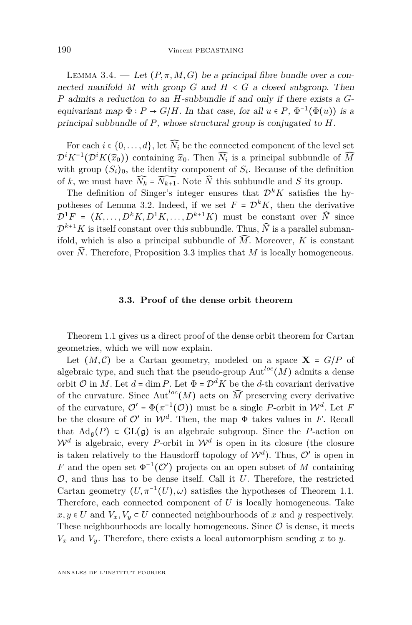LEMMA 3.4. — Let  $(P, \pi, M, G)$  be a principal fibre bundle over a connected manifold M with group  $G$  and  $H \leq G$  a closed subgroup. Then *P* admits a reduction to an *H*-subbundle if and only if there exists a *G*equivariant map  $\Phi : P \to G/H$ . In that case, for all  $u \in P$ ,  $\Phi^{-1}(\Phi(u))$  is a principal subbundle of *P*, whose structural group is conjugated to *H*.

For each  $i \in \{0, \ldots, d\}$ , let  $\widehat{N_i}$  be the connected component of the level set  $\mathcal{D}^i K^{-1}(\mathcal{D}^i K(\hat{x}_0))$  containing  $\hat{x}_0$ . Then  $\widehat{N_i}$  is a principal subbundle of  $\widehat{M}$ with group  $(S_i)_0$ , the identity component of  $S_i$ . Because of the definition of *k*, we must have  $\widehat{N_k} = \widehat{N_{k+1}}$ . Note  $\widehat{N}$  this subbundle and *S* its group.

The definition of Singer's integer ensures that  $\mathcal{D}^k K$  satisfies the hy-potheses of Lemma [3.2.](#page-12-1) Indeed, if we set  $F = \mathcal{D}^k K$ , then the derivative  $\mathcal{D}^1 F = (K, \ldots, D^k K, D^1 K, \ldots, D^{k+1} K)$  must be constant over  $\widehat{N}$  since  $\mathcal{D}^{k+1}K$  is itself constant over this subbundle. Thus,  $\widehat{N}$  is a parallel submanifold, which is also a principal subbundle of  $\widehat{M}$ . Moreover, *K* is constant over  $\hat{N}$ . Therefore, Proposition [3.3](#page-12-2) implies that *M* is locally homogeneous.

#### **3.3. Proof of the dense orbit theorem**

Theorem [1.1](#page-3-0) gives us a direct proof of the dense orbit theorem for Cartan geometries, which we will now explain.

Let  $(M, \mathcal{C})$  be a Cartan geometry, modeled on a space  $X = G/P$  of algebraic type, and such that the pseudo-group  $\mathrm{Aut}^{loc}(M)$  admits a dense orbit  $\mathcal{O}$  in *M*. Let  $d = \dim P$ . Let  $\Phi = \mathcal{D}^d K$  be the *d*-th covariant derivative of the curvature. Since Aut<sup>loc</sup>(*M*) acts on  $\widehat{M}$  preserving every derivative of the curvature,  $\mathcal{O}' = \Phi(\pi^{-1}(\mathcal{O}))$  must be a single *P*-orbit in  $\mathcal{W}^d$ . Let *F* be the closure of  $\mathcal{O}'$  in  $\mathcal{W}^d$ . Then, the map  $\Phi$  takes values in *F*. Recall that  $\text{Ad}_{\mathfrak{a}}(P) \subset \text{GL}(\mathfrak{g})$  is an algebraic subgroup. Since the *P*-action on  $\mathcal{W}^d$  is algebraic, every *P*-orbit in  $\mathcal{W}^d$  is open in its closure (the closure is taken relatively to the Hausdorff topology of  $\mathcal{W}^d$ ). Thus,  $\mathcal{O}'$  is open in *F* and the open set  $\Phi^{-1}(\mathcal{O}')$  projects on an open subset of *M* containing O, and thus has to be dense itself. Call it *U*. Therefore, the restricted Cartan geometry  $(U, \pi^{-1}(U), \omega)$  satisfies the hypotheses of Theorem [1.1.](#page-3-0) Therefore, each connected component of *U* is locally homogeneous. Take *x*, *y* ∈ *U* and  $V_x$ ,  $V_y$  ⊂ *U* connected neighbourhoods of *x* and *y* respectively. These neighbourhoods are locally homogeneous. Since  $\mathcal O$  is dense, it meets  $V_x$  and  $V_y$ . Therefore, there exists a local automorphism sending *x* to *y*.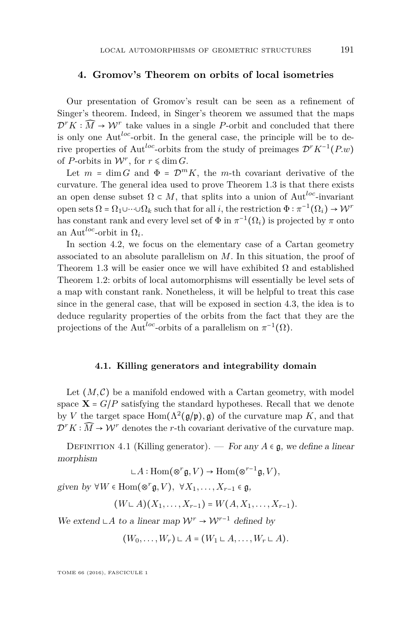#### <span id="page-17-0"></span>**4. Gromov's Theorem on orbits of local isometries**

Our presentation of Gromov's result can be seen as a refinement of Singer's theorem. Indeed, in Singer's theorem we assumed that the maps  $\mathcal{D}^r K : \widehat{M} \to \mathcal{W}^r$  take values in a single *P*-orbit and concluded that there is only one Aut*loc*-orbit. In the general case, the principle will be to derive properties of Aut*loc*-orbits from the study of preimages D*<sup>r</sup>K*−<sup>1</sup> (*P.w*) of *P*-orbits in  $W^r$ , for  $r \leq \dim G$ .

Let  $m = \dim G$  and  $\Phi = \mathcal{D}^m K$ , the *m*-th covariant derivative of the curvature. The general idea used to prove Theorem [1.3](#page-5-1) is that there exists an open dense subset  $\Omega \subset M$ , that splits into a union of Aut<sup>loc</sup>-invariant open sets  $\Omega = \Omega_1 \cup \cdots \cup \Omega_k$  such that for all *i*, the restriction  $\Phi : \pi^{-1}(\Omega_i) \to \mathcal{W}^r$ has constant rank and every level set of  $\Phi$  in  $\pi^{-1}(\Omega_i)$  is projected by  $\pi$  onto an Aut<sup>*loc*</sup>-orbit in  $\Omega_i$ .

In section [4.2,](#page-18-0) we focus on the elementary case of a Cartan geometry associated to an absolute parallelism on *M*. In this situation, the proof of Theorem [1.3](#page-5-1) will be easier once we will have exhibited  $\Omega$  and established Theorem [1.2:](#page-5-0) orbits of local automorphisms will essentially be level sets of a map with constant rank. Nonetheless, it will be helpful to treat this case since in the general case, that will be exposed in section [4.3,](#page-24-0) the idea is to deduce regularity properties of the orbits from the fact that they are the projections of the Aut<sup>loc</sup>-orbits of a parallelism on  $\pi^{-1}(\Omega)$ .

#### **4.1. Killing generators and integrability domain**

Let  $(M, \mathcal{C})$  be a manifold endowed with a Cartan geometry, with model space  $X = G/P$  satisfying the standard hypotheses. Recall that we denote by *V* the target space  $\text{Hom}(\Lambda^2(\mathfrak{g}/\mathfrak{p}), \mathfrak{g})$  of the curvature map *K*, and that  $\mathcal{D}^r K : \widehat{M} \to \mathcal{W}^r$  denotes the *r*-th covariant derivative of the curvature map.

DEFINITION 4.1 (Killing generator). — For any  $A \in \mathfrak{g}$ , we define a linear morphism

$$
\mathsf{L}\mathit{A}:\mathrm{Hom}(\otimes^r\mathfrak{g},V)\to \mathrm{Hom}(\otimes^{r-1}\mathfrak{g},V),
$$

given by  $\forall W \in \text{Hom}(\otimes^r \mathfrak{g}, V), \ \forall X_1, \dots, X_{r-1} \in \mathfrak{g},$ 

 $(W \cup A)(X_1, \ldots, X_{r-1}) = W(A, X_1, \ldots, X_{r-1}).$ 

We extend ∟*A* to a linear map  $W^r \to W^{r-1}$  defined by

$$
(W_0,\ldots,W_r)\sqcup A=(W_1\sqcup A,\ldots,W_r\sqcup A).
$$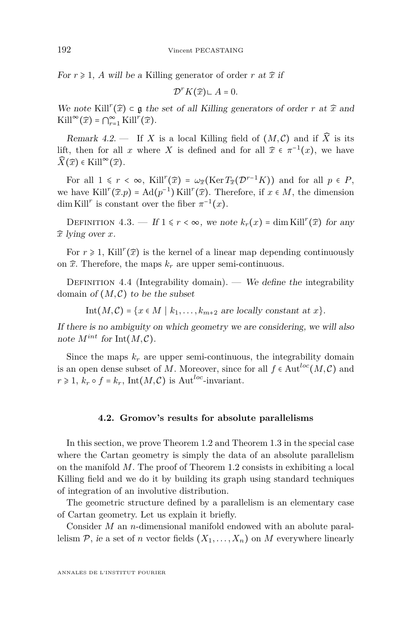For  $r \geq 1$ , A will be a Killing generator of order r at  $\hat{x}$  if

$$
\mathcal{D}^r K(\widehat{x}) \cup A = 0.
$$

We note Kill<sup> $r$ </sup>( $\hat{x}$ ) ⊂  $\mathfrak g$  the set of all Killing generators of order *r* at  $\hat{x}$  and  $\text{Kill}^{\infty}(\widehat{x}) = \bigcap_{r=1}^{\infty} \text{Kill}^r(\widehat{x}).$ 

Remark 4.2. — If *X* is a local Killing field of  $(M, \mathcal{C})$  and if  $\widehat{X}$  is its lift, then for all *x* where *X* is defined and for all  $\hat{x} \in \pi^{-1}(x)$ , we have  $\widehat{X}(\widehat{x})$  ∈ Kill<sup>∞</sup> $(\widehat{x})$ .

For all  $1 \leq r \leq \infty$ , Kill<sup>r</sup>( $\hat{x}$ ) =  $\omega_{\hat{x}}(\text{Ker }T_{\hat{x}}(\mathcal{D}^{r-1}K))$  and for all  $p \in P$ , we have Kill<sup>*r*</sup>( $\hat{x}$ </sup>*.p*) = Ad( $p^{-1}$ ) Kill<sup>*r*</sup>( $\hat{x}$ ). Therefore, if  $x \in M$ , the dimension dim Kill<sup>*r*</sup> is constant over the fiber  $\pi^{-1}(x)$ .

DEFINITION  $4.3.$  — If  $1 \le r < \infty$ , we note  $k_r(x) = \dim \mathrm{Kill}^r(\widehat{x})$  for any *x*̂ lying over *x*.

For  $r \geq 1$ , Kill<sup>r</sup>( $\widehat{x}$ ) is the kernel of a linear map depending continuously on  $\hat{x}$ . Therefore, the maps  $k_r$  are upper semi-continuous.

DEFINITION 4.4 (Integrability domain). — We define the integrability domain of  $(M, \mathcal{C})$  to be the subset

Int $(M, C) = \{x \in M \mid k_1, \ldots, k_{m+2} \text{ are locally constant at } x\}.$ 

If there is no ambiguity on which geometry we are considering, we will also note  $M^{int}$  for  $Int(M, \mathcal{C})$ .

Since the maps  $k_r$  are upper semi-continuous, the integrability domain is an open dense subset of *M*. Moreover, since for all  $f \in \text{Aut}^{loc}(M, \mathcal{C})$  and  $r \geq 1$ ,  $k_r \circ f = k_r$ , Int $(M, \mathcal{C})$  is Aut<sup>loc</sup>-invariant.

#### **4.2. Gromov's results for absolute parallelisms**

<span id="page-18-0"></span>In this section, we prove Theorem [1.2](#page-5-0) and Theorem [1.3](#page-5-1) in the special case where the Cartan geometry is simply the data of an absolute parallelism on the manifold *M*. The proof of Theorem [1.2](#page-5-0) consists in exhibiting a local Killing field and we do it by building its graph using standard techniques of integration of an involutive distribution.

The geometric structure defined by a parallelism is an elementary case of Cartan geometry. Let us explain it briefly.

Consider *M* an *n*-dimensional manifold endowed with an abolute parallelism  $P$ , ie a set of *n* vector fields  $(X_1, \ldots, X_n)$  on *M* everywhere linearly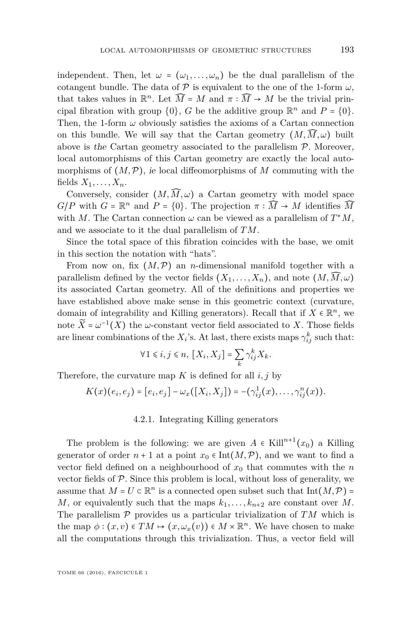independent. Then, let  $\omega = (\omega_1, \ldots, \omega_n)$  be the dual parallelism of the cotangent bundle. The data of  $P$  is equivalent to the one of the 1-form  $\omega$ , that takes values in  $\mathbb{R}^n$ . Let  $\widehat{M} = M$  and  $\pi : \widehat{M} \to M$  be the trivial principal fibration with group  $\{0\}$ , *G* be the additive group  $\mathbb{R}^n$  and  $P = \{0\}$ . Then, the 1-form  $\omega$  obviously satisfies the axioms of a Cartan connection on this bundle. We will say that the Cartan geometry  $(M, \widehat{M}, \omega)$  built above is the Cartan geometry associated to the parallelism  $P$ . Moreover, local automorphisms of this Cartan geometry are exactly the local automorphisms of  $(M, \mathcal{P})$ , ie local diffeomorphisms of M commuting with the fields  $X_1, \ldots, X_n$ .

Conversely, consider  $(M, \widehat{M}, \omega)$  a Cartan geometry with model space *G*/*P* with *G* =  $\mathbb{R}^n$  and *P* = {0}. The projection  $\pi : \widehat{M} \to M$  identifies  $\widehat{M}$ with *M*. The Cartan connection  $\omega$  can be viewed as a parallelism of  $T^*M$ , and we associate to it the dual parallelism of *TM*.

Since the total space of this fibration coincides with the base, we omit in this section the notation with "hats".

From now on, fix  $(M, \mathcal{P})$  an *n*-dimensional manifold together with a parallelism defined by the vector fields  $(X_1, \ldots, X_n)$ , and note  $(M, \overline{M}, \omega)$ its associated Cartan geometry. All of the definitions and properties we have established above make sense in this geometric context (curvature, domain of integrability and Killing generators). Recall that if  $X \in \mathbb{R}^n$ , we note  $\widetilde{X} = \omega^{-1}(X)$  the  $\omega$ -constant vector field associated to *X*. Those fields are linear combinations of the  $X_i$ 's. At last, there exists maps  $\gamma_{ij}^k$  such that:

$$
\forall 1 \leq i, j \leq n, \ [X_i, X_j] = \sum_k \gamma_{ij}^k X_k.
$$

Therefore, the curvature map  $K$  is defined for all  $i, j$  by

$$
K(x)(e_i,e_j)=[e_i,e_j]-\omega_x([X_i,X_j])=-(\gamma_{ij}^1(x),\ldots,\gamma_{ij}^n(x)).
$$

#### 4.2.1. Integrating Killing generators

<span id="page-19-0"></span>The problem is the following: we are given  $A \in$  Kill<sup>n+1</sup>( $x_0$ ) a Killing generator of order  $n+1$  at a point  $x_0 \in \text{Int}(M, \mathcal{P})$ , and we want to find a vector field defined on a neighbourhood of  $x_0$  that commutes with the *n* vector fields of  $P$ . Since this problem is local, without loss of generality, we assume that  $M = U \subset \mathbb{R}^n$  is a connected open subset such that  $\text{Int}(M, \mathcal{P}) =$ *M*, or equivalently such that the maps  $k_1, \ldots, k_{n+2}$  are constant over *M*. The parallelism P provides us a particular trivialization of *TM* which is the map  $\phi : (x, v) \in TM \mapsto (x, \omega_x(v)) \in M \times \mathbb{R}^n$ . We have chosen to make all the computations through this trivialization. Thus, a vector field will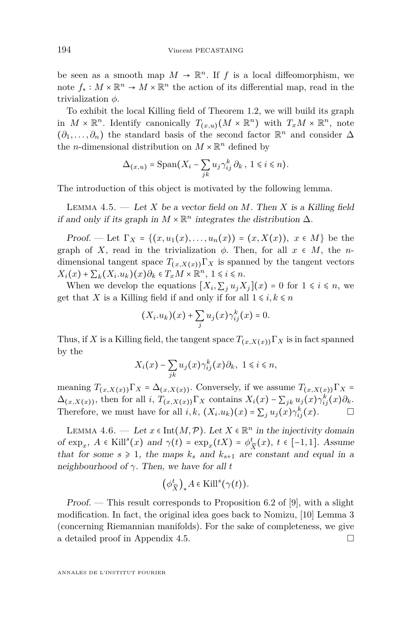be seen as a smooth map  $M \to \mathbb{R}^n$ . If *f* is a local diffeomorphism, we note  $f_*: M \times \mathbb{R}^n \to M \times \mathbb{R}^n$  the action of its differential map, read in the trivialization *φ*.

To exhibit the local Killing field of Theorem [1.2,](#page-5-0) we will build its graph in  $M \times \mathbb{R}^n$ . Identify canonically  $T_{(x,u)}(M \times \mathbb{R}^n)$  with  $T_xM \times \mathbb{R}^n$ , note  $(\partial_1, \ldots, \partial_n)$  the standard basis of the second factor  $\mathbb{R}^n$  and consider  $\Delta$ the *n*-dimensional distribution on  $M \times \mathbb{R}^n$  defined by

$$
\Delta_{(x,u)} = \text{Span}(X_i - \sum_{jk} u_j \gamma_{ij}^k \partial_k, \ 1 \leq i \leq n).
$$

The introduction of this object is motivated by the following lemma.

<span id="page-20-1"></span>LEMMA 4.5.  $-$  Let X be a vector field on M. Then X is a Killing field if and only if its graph in  $M \times \mathbb{R}^n$  integrates the distribution  $\Delta$ .

Proof. — Let  $\Gamma_X = \{(x, u_1(x), \ldots, u_n(x)) = (x, X(x)), x \in M\}$  be the graph of *X*, read in the trivialization  $\phi$ . Then, for all  $x \in M$ , the *n*dimensional tangent space  $T_{(x,X(x))}\Gamma_X$  is spanned by the tangent vectors  $X_i(x) + \sum_k (X_i.u_k)(x)\partial_k \in T_xM \times \mathbb{R}^n, \ 1 \leq i \leq n.$ 

When we develop the equations  $[X_i, \sum_j u_j X_j](x) = 0$  for  $1 \leq i \leq n$ , we get that *X* is a Killing field if and only if for all  $1 \leq i, k \leq n$ 

$$
(X_i.u_k)(x) + \sum_j u_j(x)\gamma_{ij}^k(x) = 0.
$$

Thus, if *X* is a Killing field, the tangent space  $T_{(x,X(x))}\Gamma_X$  is in fact spanned by the

$$
X_i(x) - \sum_{jk} u_j(x)\gamma_{ij}^k(x)\partial_k, \ 1 \le i \le n,
$$

meaning  $T_{(x,X(x))}\Gamma_X = \Delta_{(x,X(x))}$ . Conversely, if we assume  $T_{(x,X(x))}\Gamma_X =$  $\Delta_{(x,X(x))}$ , then for all *i*,  $T_{(x,X(x))}\Gamma_X$  contains  $X_i(x) - \sum_{jk} u_j(x)\gamma_{ij}^k(x)\partial_k$ . Therefore, we must have for all  $i, k$ ,  $(X_i, u_k)(x) = \sum_j u_j(x) \gamma_{ij}^k(x)$ .

<span id="page-20-0"></span>LEMMA 4.6. — Let  $x \in \text{Int}(M, \mathcal{P})$ . Let  $X \in \mathbb{R}^n$  in the injectivity domain of  $\exp_x$ ,  $A \in$ Kill<sup>s</sup> $(x)$  and  $\gamma(t) = \exp_x(tX) = \phi^t$  $\frac{t}{\widetilde{X}}(x), t$  ∈ [−1, 1]. Assume that for some  $s \geq 1$ , the maps  $k_s$  and  $k_{s+1}$  are constant and equal in a neighbourhood of *γ*. Then, we have for all *t*

$$
\left(\phi_{\widetilde{X}}^t\right)_*A\in \text{Kill}^s(\gamma(t)).
$$

Proof. — This result corresponds to Proposition 6.2 of [\[9\]](#page-34-0), with a slight modification. In fact, the original idea goes back to Nomizu, [\[10\]](#page-34-9) Lemma 3 (concerning Riemannian manifolds). For the sake of completeness, we give a detailed proof in Appendix [4.5.](#page-32-0)

ANNALES DE L'INSTITUT FOURIER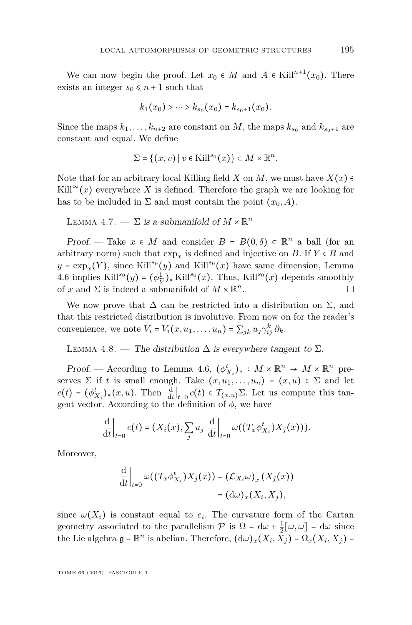We can now begin the proof. Let  $x_0 \in M$  and  $A \in$  Kill<sup>n+1</sup> $(x_0)$ . There exists an integer  $s_0 \leq n+1$  such that

$$
k_1(x_0) > \cdots > k_{s_0}(x_0) = k_{s_0+1}(x_0).
$$

Since the maps  $k_1, \ldots, k_{n+2}$  are constant on *M*, the maps  $k_{s_0}$  and  $k_{s_0+1}$  are constant and equal. We define

$$
\Sigma = \{(x, v) \mid v \in \mathrm{Kill}^{s_0}(x)\} \subset M \times \mathbb{R}^n.
$$

Note that for an arbitrary local Killing field *X* on *M*, we must have  $X(x)$ Kill<sup>∞</sup> $(x)$  everywhere *X* is defined. Therefore the graph we are looking for has to be included in  $\Sigma$  and must contain the point  $(x_0, A)$ .

<span id="page-21-0"></span>LEMMA 4.7. —  $\Sigma$  is a submanifold of  $M \times \mathbb{R}^n$ 

Proof. — Take  $x \in M$  and consider  $B = B(0, \delta) \subset \mathbb{R}^n$  a ball (for an arbitrary norm) such that  $\exp_x$  is defined and injective on *B*. If  $Y \in B$  and  $y = \exp_x(Y)$ , since Kill<sup>so</sup>(*y*) and Kill<sup>so</sup>(*x*) have same dimension, Lemma [4.6](#page-20-0) implies Kill<sup>s<sub>0</sub></sup>(*y*) =  $(\phi_{\tilde{\mathbf{v}}}^1)$  $\frac{1}{\tilde{Y}}$   $\star$  Kill<sup>s</sup><sup>0</sup>(*x*). Thus, Kill<sup>s<sub>0</sub></sup>(*x*) depends smoothly of *x* and  $\Sigma$  is indeed a submanifold of  $M \times \mathbb{R}^n$ . — Первый процесс в постановки программа в серверном становки производительно становки производите с производ<br>В серверном становки производительно становки производительно становки производительно становки производительн

We now prove that  $\Delta$  can be restricted into a distribution on  $\Sigma$ , and that this restricted distribution is involutive. From now on for the reader's convenience, we note  $V_i = V_i(x, u_1, \dots, u_n) = \sum_{jk} u_j \gamma_{ij}^k \partial_k$ .

<span id="page-21-1"></span>LEMMA 4.8. — The distribution  $\Delta$  is everywhere tangent to  $\Sigma$ .

Proof. — According to Lemma [4.6,](#page-20-0)  $(\phi^t_{X_i})_* : M \times \mathbb{R}^n \to M \times \mathbb{R}^n$  preserves  $\Sigma$  if *t* is small enough. Take  $(x, u_1, \ldots, u_n) = (x, u) \in \Sigma$  and let  $c(t) = (\phi_{X_i}^t)_*(x, u)$ . Then  $\frac{d}{dt}\Big|_{t=0} c(t) \in T_{(x, u)}\Sigma$ . Let us compute this tangent vector. According to the definition of  $\phi$ , we have

$$
\frac{\mathrm{d}}{\mathrm{d}t}\bigg|_{t=0}c(t)=(X_i(x),\sum_j u_j\left.\frac{\mathrm{d}}{\mathrm{d}t}\right|_{t=0}\omega((T_x\phi^t_{X_i})X_j(x))).
$$

Moreover,

$$
\frac{\mathrm{d}}{\mathrm{d}t}\bigg|_{t=0} \omega((T_x \phi_{X_i}^t) X_j(x)) = (\mathcal{L}_{X_i} \omega)_x (X_j(x))
$$

$$
= (\mathrm{d}\omega)_x (X_i, X_j),
$$

since  $\omega(X_i)$  is constant equal to  $e_i$ . The curvature form of the Cartan geometry associated to the parallelism  $P$  is  $\Omega = d\omega + \frac{1}{2}[\omega, \omega] = d\omega$  since the Lie algebra  $\mathfrak{g} = \mathbb{R}^n$  is abelian. Therefore,  $(d\omega)_x(X_i, \bar{X}_j) = \Omega_x(X_i, X_j) =$ 

TOME 66 (2016), FASCICULE 1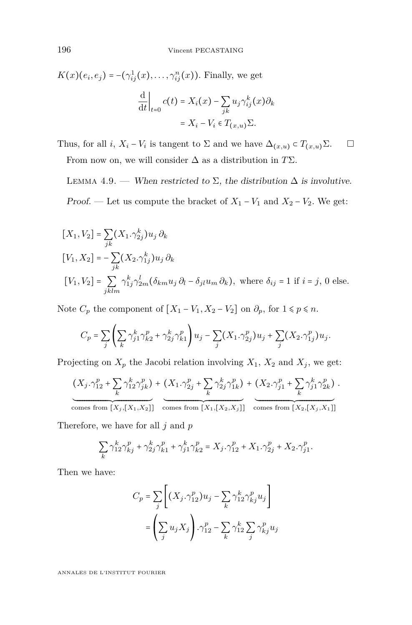*K*(*x*)(*e*<sub>*i*</sub>, *e*<sub>*j*</sub>) = −( $\gamma_{ij}^1(x)$ , ...,  $\gamma_{ij}^n(x)$ ). Finally, we get d d*t* ∣ *t*=0  $c(t) = X_i(x) - \sum_{jk}$  $u_j \gamma_{ij}^k(x) \partial_k$  $=X_i - V_i \in T_{(x,u)}\Sigma$ .

Thus, for all *i*,  $X_i - V_i$  is tangent to  $\Sigma$  and we have  $\Delta_{(x,u)} \subset T_{(x,u)}\Sigma$ .  $\Box$ From now on, we will consider ∆ as a distribution in *T*Σ.

<span id="page-22-0"></span>LEMMA 4.9. — When restricted to  $\Sigma$ , the distribution  $\Delta$  is involutive. Proof. — Let us compute the bracket of  $X_1 - V_1$  and  $X_2 - V_2$ . We get:

$$
[X_1, V_2] = \sum_{jk} (X_1 \cdot \gamma_{2j}^k) u_j \, \partial_k
$$
  
\n
$$
[V_1, X_2] = -\sum_{jk} (X_2 \cdot \gamma_{1j}^k) u_j \, \partial_k
$$
  
\n
$$
[V_1, V_2] = \sum_{jklm} \gamma_{1j}^k \gamma_{2m}^l (\delta_{km} u_j \, \partial_l - \delta_{jl} u_m \, \partial_k), \text{ where } \delta_{ij} = 1 \text{ if } i = j, 0 \text{ else.}
$$

Note  $C_p$  the component of  $[X_1 - V_1, X_2 - V_2]$  on  $\partial_p$ , for  $1 \leq p \leq n$ .

$$
C_p = \sum_{j} \left( \sum_{k} \gamma_{j1}^{k} \gamma_{k2}^{p} + \gamma_{2j}^{k} \gamma_{k1}^{p} \right) u_j - \sum_{j} (X_1 \cdot \gamma_{2j}^{p}) u_j + \sum_{j} (X_2 \cdot \gamma_{1j}^{p}) u_j.
$$

Projecting on  $X_p$  the Jacobi relation involving  $X_1$ ,  $X_2$  and  $X_j$ , we get:

$$
(X_j, \gamma_{12}^p + \sum_k \gamma_{12}^k \gamma_{jk}^p) + (X_1, \gamma_{2j}^p + \sum_k \gamma_{2j}^k \gamma_{1k}^p) + (X_2, \gamma_{j1}^p + \sum_k \gamma_{j1}^k \gamma_{2k}^p).
$$
  
comes from  $[X_j, [X_1, X_2]]$  comes from  $[X_1, [X_2, X_j]]$  comes from  $[X_2, [X_j, X_1]]$ 

Therefore, we have for all *j* and *p*

$$
\sum_{k} \gamma_{12}^{k} \gamma_{kj}^{p} + \gamma_{2j}^{k} \gamma_{k1}^{p} + \gamma_{j1}^{k} \gamma_{k2}^{p} = X_{j} \cdot \gamma_{12}^{p} + X_{1} \cdot \gamma_{2j}^{p} + X_{2} \cdot \gamma_{j1}^{p}.
$$

Then we have:

$$
C_p = \sum_{j} \left[ (X_j \cdot \gamma_{12}^p) u_j - \sum_{k} \gamma_{12}^k \gamma_{kj}^p u_j \right]
$$

$$
= \left( \sum_j u_j X_j \right) \cdot \gamma_{12}^p - \sum_k \gamma_{12}^k \sum_j \gamma_{kj}^p u_j
$$

ANNALES DE L'INSTITUT FOURIER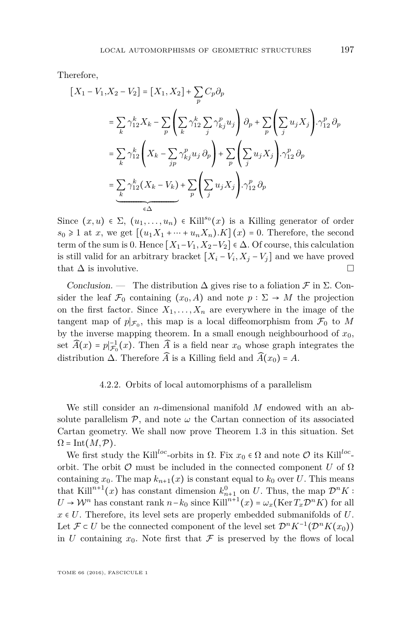Therefore,

$$
[X_1 - V_1, X_2 - V_2] = [X_1, X_2] + \sum_p C_p \partial_p
$$
  
\n
$$
= \sum_k \gamma_{12}^k X_k - \sum_p \left( \sum_k \gamma_{12}^k \sum_j \gamma_{kj}^p u_j \right) \partial_p + \sum_p \left( \sum_j u_j X_j \right) \cdot \gamma_{12}^p \partial_p
$$
  
\n
$$
= \sum_k \gamma_{12}^k \left( X_k - \sum_{jp} \gamma_{kj}^p u_j \partial_p \right) + \sum_p \left( \sum_j u_j X_j \right) \cdot \gamma_{12}^p \partial_p
$$
  
\n
$$
= \sum_k \gamma_{12}^k (X_k - V_k) + \sum_p \left( \sum_j u_j X_j \right) \cdot \gamma_{12}^p \partial_p
$$
  
\n
$$
\underbrace{\left( \sum_k v_j X_k \right)}_{\in \Delta} \cdot \underbrace{\left( \sum_k v_j X_k \right)}_{\in \Delta} \cdot \underbrace{\left( \sum_k v_j X_k \right)}_{\in \Delta} \cdot \underbrace{\left( \sum_k v_j X_k \right)}_{\in \Delta} \cdot \underbrace{\left( \sum_k v_j X_k \right)}_{\in \Delta} \cdot \underbrace{\left( \sum_k v_j X_k \right)}_{\in \Delta} \cdot \underbrace{\left( \sum_k v_j X_k \right)}_{\in \Delta} \cdot \underbrace{\left( \sum_k v_j X_k \right)}_{\in \Delta} \cdot \underbrace{\left( \sum_k v_j X_k \right)}_{\in \Delta} \cdot \underbrace{\left( \sum_k v_j X_k \right)}_{\in \Delta} \cdot \underbrace{\left( \sum_k v_j X_k \right)}_{\in \Delta} \cdot \underbrace{\left( \sum_k v_j X_k \right)}_{\in \Delta} \cdot \underbrace{\left( \sum_k v_j X_k \right)}_{\in \Delta} \cdot \underbrace{\left( \sum_k v_j X_k \right)}_{\in \Delta} \cdot \underbrace{\left( \sum_k v_j X_k \right)}_{\in \Delta} \cdot \underbrace{\left( \sum_k v_j X_k \right)}_{\in \Delta} \cdot \underbrace{\left( \sum_k v_j X_k \right)}_{\in \Delta} \cdot \underbrace{\left( \sum_k v_j X_k \right)}_{\in \Delta} \cdot \underbrace{\left( \sum_k v_j X_k \right)}_{\in \Delta} \cdot \underbrace{\left( \sum_k v_j X_k \right)}_{\in \Delta} \
$$

Since  $(x, u) \in \Sigma$ ,  $(u_1, \ldots, u_n) \in$  Kill<sup>so</sup> $(x)$  is a Killing generator of order  $s_0 \geq 1$  at *x*, we get  $[(u_1X_1 + \cdots + u_nX_n)$ *.K* $](x) = 0$ *.* Therefore, the second term of the sum is 0. Hence  $[X_1-V_1, X_2-V_2] \in \Delta$ . Of course, this calculation is still valid for an arbitrary bracket  $[X_i - V_i, X_j - V_j]$  and we have proved that  $\Delta$  is involutive.

Conclusion. — The distribution  $\Delta$  gives rise to a foliation  $\mathcal F$  in  $\Sigma$ . Consider the leaf  $\mathcal{F}_0$  containing  $(x_0, A)$  and note  $p : \Sigma \to M$  the projection on the first factor. Since  $X_1, \ldots, X_n$  are everywhere in the image of the tangent map of  $p|_{\mathcal{F}_0}$ , this map is a local diffeomorphism from  $\mathcal{F}_0$  to M by the inverse mapping theorem. In a small enough neighbourhood of  $x_0$ , set  $\widehat{A}(x) = p|_{\mathcal{F}_0}^{-1}(x)$ . Then  $\widehat{A}$  is a field near  $x_0$  whose graph integrates the distribution  $\Delta$ . Therefore  $\widehat{A}$  is a Killing field and  $\widehat{A}(x_0) = A$ .

#### 4.2.2. Orbits of local automorphisms of a parallelism

<span id="page-23-0"></span>We still consider an *n*-dimensional manifold *M* endowed with an absolute parallelism  $P$ , and note  $\omega$  the Cartan connection of its associated Cartan geometry. We shall now prove Theorem [1.3](#page-5-1) in this situation. Set  $\Omega = \text{Int}(M, \mathcal{P}).$ 

We first study the Kill<sup>loc</sup>-orbits in  $\Omega$ . Fix  $x_0 \in \Omega$  and note  $\mathcal O$  its Kill<sup>loc</sup>orbit. The orbit  $\mathcal O$  must be included in the connected component *U* of  $\Omega$ containing  $x_0$ . The map  $k_{n+1}(x)$  is constant equal to  $k_0$  over *U*. This means that Kill<sup>n+1</sup>(*x*) has constant dimension  $k_{n+1}^0$  on *U*. Thus, the map  $\mathcal{D}^n K$ :  $U \to \mathcal{W}^n$  has constant rank  $n-k_0$  since Kill<sup>n+1</sup>(*x*) =  $\omega_x(\text{Ker } T_x \mathcal{D}^n K)$  for all  $x \in U$ . Therefore, its level sets are properly embedded submanifolds of  $U$ . Let  $\mathcal{F} \subset U$  be the connected component of the level set  $\mathcal{D}^n K^{-1}(\mathcal{D}^n K(x_0))$ in *U* containing  $x_0$ . Note first that  $\mathcal F$  is preserved by the flows of local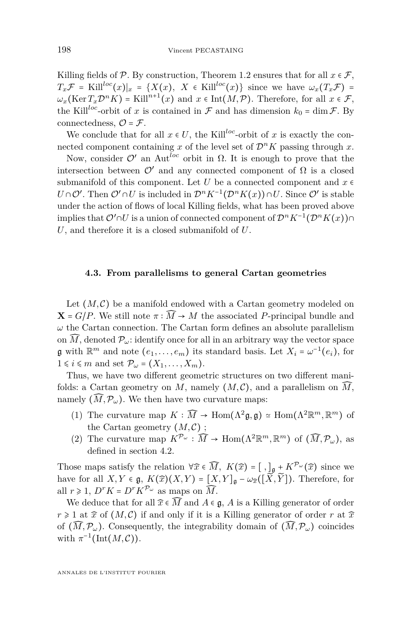Killing fields of  $P$ . By construction, Theorem [1.2](#page-5-0) ensures that for all  $x \in \mathcal{F}$ ,  $T_x \mathcal{F}$  = Kill<sup>loc</sup>(*x*)|*x* = {*X*(*x*)*, X* ∈ Kill<sup>loc</sup>(*x*)} since we have  $\omega_x(T_x \mathcal{F})$  =  $\omega_x(\text{Ker } T_x \mathcal{D}^n K) = \text{Kill}^{n+1}(x)$  and  $x \in \text{Int}(M, \mathcal{P})$ . Therefore, for all  $x \in \mathcal{F}$ , the Kill<sup>loc</sup>-orbit of *x* is contained in  $\mathcal F$  and has dimension  $k_0 = \dim \mathcal F$ . By connectedness,  $\mathcal{O} = \mathcal{F}$ .

We conclude that for all  $x \in U$ , the Kill<sup>loc</sup>-orbit of x is exactly the connected component containing *x* of the level set of  $\mathcal{D}^n K$  passing through *x*.

Now, consider  $\mathcal{O}'$  an Aut<sup>loc</sup> orbit in Ω. It is enough to prove that the intersection between  $\mathcal{O}'$  and any connected component of  $\Omega$  is a closed submanifold of this component. Let *U* be a connected component and  $x \in \mathbb{R}$ *U*∩ $\mathcal{O}'$ . Then  $\mathcal{O}' \cap U$  is included in  $\mathcal{D}^n K^{-1}(\mathcal{D}^n K(x)) \cap U$ . Since  $\mathcal{O}'$  is stable under the action of flows of local Killing fields, what has been proved above implies that  $\mathcal{O}' \cap U$  is a union of connected component of  $\mathcal{D}^n K^{-1}(\mathcal{D}^n K(x)) \cap$ *U*, and therefore it is a closed submanifold of *U*.

#### <span id="page-24-0"></span>**4.3. From parallelisms to general Cartan geometries**

Let  $(M, \mathcal{C})$  be a manifold endowed with a Cartan geometry modeled on  $X = G/P$ . We still note  $\pi : \widehat{M} \to M$  the associated *P*-principal bundle and  $\omega$  the Cartan connection. The Cartan form defines an absolute parallelism on  $\widehat{M}$ , denoted  $\mathcal{P}_{\omega}$ : identify once for all in an arbitrary way the vector space **g** with  $\mathbb{R}^m$  and note  $(e_1, \ldots, e_m)$  its standard basis. Let  $X_i = \omega^{-1}(e_i)$ , for  $1 \leq i \leq m$  and set  $\mathcal{P}_{\omega} = (X_1, \ldots, X_m)$ .

Thus, we have two different geometric structures on two different manifolds: a Cartan geometry on *M*, namely  $(M, \mathcal{C})$ , and a parallelism on  $\widehat{M}$ , namely  $(\widehat{M}, \mathcal{P}_{\omega})$ . We then have two curvature maps:

- (1) The curvature map  $K : \widehat{M} \to \text{Hom}(\Lambda^2 \mathfrak{g}, \mathfrak{g}) \simeq \text{Hom}(\Lambda^2 \mathbb{R}^m, \mathbb{R}^m)$  of the Cartan geometry  $(M, \mathcal{C})$ ;
- (2) The curvature map  $K^{\mathcal{P}_{\omega}} : \widehat{M} \to \text{Hom}(\Lambda^2 \mathbb{R}^m, \mathbb{R}^m)$  of  $(\widehat{M}, \mathcal{P}_{\omega})$ , as defined in section [4.2.](#page-18-0)

Those maps satisfy the relation  $\forall \hat{x} \in \widehat{M}$ ,  $K(\hat{x}) = [ , ]_{\mathfrak{g}} + K^{\mathcal{P}_{\omega}}(\hat{x})$  since we have for all  $X, Y \in \mathfrak{g}, K(\widehat{x})(X, Y) = [X, Y]_{\mathfrak{g}} - \omega_{\widehat{x}}([\widetilde{X}, \widetilde{Y}])$ . Therefore, for all  $r \ge 1$ ,  $D^r K = D^r K^{\mathcal{P}_{\omega}}$  as maps on  $\widehat{M}$ .

We deduce that for all  $\widehat{x} \in \widehat{M}$  and  $A \in \mathfrak{g}$ , A is a Killing generator of order  $r \geq 1$  at  $\hat{x}$  of  $(M, C)$  if and only if it is a Killing generator of order *r* at  $\hat{x}$ of  $(\widehat{M}, \mathcal{P}_\omega)$ . Consequently, the integrability domain of  $(\widehat{M}, \mathcal{P}_\omega)$  coincides with  $\pi^{-1}(\text{Int}(M,\mathcal{C}))$ .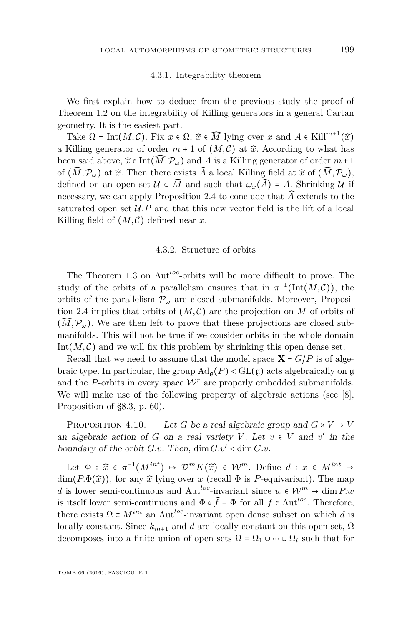#### 4.3.1. Integrability theorem

We first explain how to deduce from the previous study the proof of Theorem [1.2](#page-5-0) on the integrability of Killing generators in a general Cartan geometry. It is the easiest part.

Take  $\Omega = \text{Int}(M, \mathcal{C})$ . Fix  $x \in \Omega$ ,  $\widehat{x} \in \widehat{M}$  lying over  $x$  and  $A \in \text{Kill}^{m+1}(\widehat{x})$ a Killing generator of order  $m + 1$  of  $(M, \mathcal{C})$  at  $\hat{x}$ . According to what has been said above,  $\hat{x} \in \text{Int}(\widehat{M}, \mathcal{P}_{\omega})$  and A is a Killing generator of order  $m+1$ of  $(\widehat{M}, \mathcal{P}_\omega)$  at  $\widehat{x}$ . Then there exists  $\widehat{A}$  a local Killing field at  $\widehat{x}$  of  $(\widehat{M}, \mathcal{P}_\omega)$ , defined on an open set  $\mathcal{U} \subset \widehat{M}$  and such that  $\omega_{\widehat{\tau}}(\widehat{A}) = A$ . Shrinking  $\mathcal{U}$  if necessary, we can apply Proposition [2.4](#page-10-1) to conclude that  $\widehat{A}$  extends to the saturated open set  $\mathcal{U}.P$  and that this new vector field is the lift of a local Killing field of  $(M, \mathcal{C})$  defined near x.

#### 4.3.2. Structure of orbits

<span id="page-25-1"></span>The Theorem [1.3](#page-5-1) on Aut*loc*-orbits will be more difficult to prove. The study of the orbits of a parallelism ensures that in  $\pi^{-1}(\text{Int}(M,\mathcal{C}))$ , the orbits of the parallelism  $\mathcal{P}_{\omega}$  are closed submanifolds. Moreover, Proposi-tion [2.4](#page-10-1) implies that orbits of  $(M, \mathcal{C})$  are the projection on M of orbits of  $(M, \mathcal{P}_{\omega})$ . We are then left to prove that these projections are closed submanifolds. This will not be true if we consider orbits in the whole domain Int $(M, \mathcal{C})$  and we will fix this problem by shrinking this open dense set.

Recall that we need to assume that the model space  $X = G/P$  is of algebraic type. In particular, the group  $\text{Ad}_{\mathfrak{a}}(P) < \text{GL}(\mathfrak{g})$  acts algebraically on g and the *P*-orbits in every space  $W<sup>r</sup>$  are properly embedded submanifolds. We will make use of the following property of algebraic actions (see [\[8\]](#page-34-12), Proposition of §8.3, p. 60).

<span id="page-25-0"></span>PROPOSITION 4.10. — Let *G* be a real algebraic group and  $G \times V \rightarrow V$ an algebraic action of *G* on a real variety *V*. Let  $v \in V$  and  $v'$  in the boundary of the orbit  $G.v.$  Then,  $\dim G.v' < \dim G.v.$ 

Let  $\Phi$  :  $\widehat{x} \in \pi^{-1}(M^{int}) \mapsto \mathcal{D}^m K(\widehat{x}) \in \mathcal{W}^m$ . Define  $d : x \in M^{int} \mapsto$ dim( $P.\Phi(\widehat{x})$ ), for any  $\widehat{x}$  lying over *x* (recall  $\Phi$  is *P*-equivariant). The map *d* is lower semi-continuous and Aut<sup>loc</sup>-invariant since  $w \in \mathcal{W}^m \mapsto \dim P.w$ is itself lower semi-continuous and  $\Phi \circ \hat{f} = \Phi$  for all  $f \in \text{Aut}^{loc}$ . Therefore, there exists  $\Omega \subset M^{int}$  an Aut<sup>loc</sup>-invariant open dense subset on which *d* is locally constant. Since  $k_{m+1}$  and *d* are locally constant on this open set,  $\Omega$ decomposes into a finite union of open sets  $\Omega = \Omega_1 \cup \cdots \cup \Omega_l$  such that for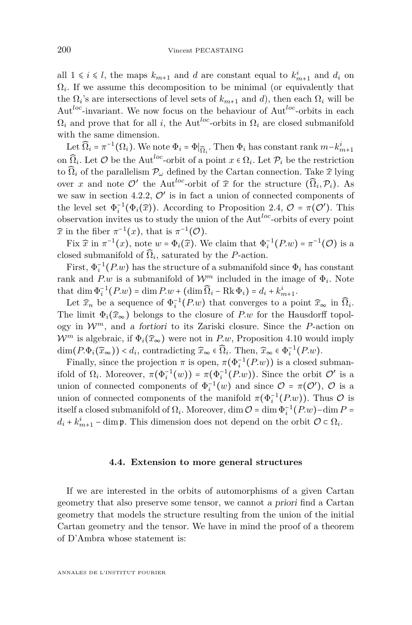all  $1 \leq i \leq l$ , the maps  $k_{m+1}$  and *d* are constant equal to  $k_{m+1}^i$  and  $d_i$  on  $\Omega_i$ . If we assume this decomposition to be minimal (or equivalently that the  $\Omega_i$ 's are intersections of level sets of  $k_{m+1}$  and *d*), then each  $\Omega_i$  will be Aut*loc*-invariant. We now focus on the behaviour of Aut*loc*-orbits in each  $\Omega_i$  and prove that for all *i*, the Aut<sup>loc</sup>-orbits in  $\Omega_i$  are closed submanifold with the same dimension.

Let  $\widehat{\Omega}_i = \pi^{-1}(\Omega_i)$ . We note  $\Phi_i = \Phi|_{\widehat{\Omega}_i}$ . Then  $\Phi_i$  has constant rank  $m - k_{m+1}^i$ on  $\widehat{\Omega}_i$ . Let  $\mathcal O$  be the Aut<sup>loc</sup>-orbit of a point  $x \in \Omega_i$ . Let  $\mathcal P_i$  be the restriction to  $\Omega_i$  of the parallelism  $\mathcal{P}_{\omega}$  defined by the Cartan connection. Take  $\hat{x}$  lying over *x* and note  $\mathcal{O}'$  the Aut<sup>loc</sup>-orbit of  $\widehat{x}$  for the structure  $(\widehat{\Omega}_i, \mathcal{P}_i)$ . As we saw in section [4.2.2,](#page-23-0)  $\mathcal{O}'$  is in fact a union of connected components of the level set  $\Phi_i^{-1}(\Phi_i(\hat{x}))$ . According to Proposition [2.4,](#page-10-1)  $\mathcal{O} = \pi(\mathcal{O}')$ . This observation invites us to study the union of the Aut*loc*-orbits of every point  $\widehat{x}$  in the fiber  $\pi^{-1}(x)$ , that is  $\pi^{-1}(\mathcal{O})$ .

Fix  $\hat{x}$  in  $\pi^{-1}(x)$ , note  $w = \Phi_i(\hat{x})$ . We claim that  $\Phi_i^{-1}(P_w) = \pi^{-1}(Q)$  is a closed submanifold of  $\widehat{\Omega}_i$ , saturated by the *P*-action.

First,  $\Phi_i^{-1}(P_w)$  has the structure of a submanifold since  $\Phi_i$  has constant rank and  $P.w$  is a submanifold of  $\mathcal{W}^m$  included in the image of  $\Phi_i$ . Note that dim  $\Phi_i^{-1}(P.w) = \dim P.w + (\dim \Omega_i - \text{Rk} \Phi_i) = d_i + k_{m+1}^i$ . *m*+1

Let  $\widehat{x}_n$  be a sequence of  $\Phi_i^{-1}(P_w)$  that converges to a point  $\widehat{x}_\infty$  in  $\widehat{\Omega}_i$ . The limit  $\Phi_i(\hat{x}_{\infty})$  belongs to the closure of *P.w* for the Hausdorff topology in  $\mathcal{W}^m$ , and a fortiori to its Zariski closure. Since the *P*-action on  $\mathcal{W}^m$  is algebraic, if  $\Phi_i(\widehat{x}_{\infty})$  were not in *P.w*, Proposition [4.10](#page-25-0) would imply dim( $P.\Phi_i(\widehat{x}_\infty)$ ) <  $d_i$ , contradicting  $\widehat{x}_\infty \in \widehat{\Omega}_i$ . Then,  $\widehat{x}_\infty \in \Phi_i^{-1}(P.w)$ .

Finally, since the projection  $\pi$  is open,  $\pi(\Phi_i^{-1}(P_w))$  is a closed submanifold of  $\Omega_i$ . Moreover,  $\pi(\Phi_i^{-1}(w)) = \pi(\Phi_i^{-1}(P_w))$ . Since the orbit  $\mathcal{O}'$  is a union of connected components of  $\Phi_i^{-1}(w)$  and since  $\mathcal{O} = \pi(\mathcal{O}')$ ,  $\mathcal{O}$  is a union of connected components of the manifold  $\pi(\Phi_i^{-1}(P_w))$ . Thus  $\mathcal O$  is itself a closed submanifold of  $\Omega_i$ . Moreover, dim  $\mathcal{O} = \dim \Phi_i^{-1}(P \cdot w) - \dim P =$  $d_i + k_{m+1}^i$  – dim **p**. This dimension does not depend on the orbit  $\mathcal{O} \subset \Omega_i$ .

#### **4.4. Extension to more general structures**

If we are interested in the orbits of automorphisms of a given Cartan geometry that also preserve some tensor, we cannot a priori find a Cartan geometry that models the structure resulting from the union of the initial Cartan geometry and the tensor. We have in mind the proof of a theorem of D'Ambra whose statement is: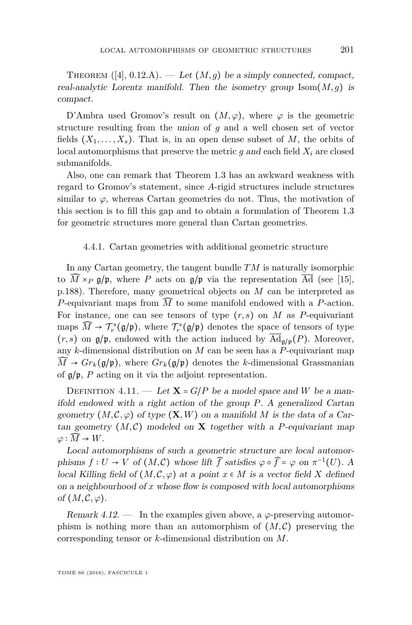THEOREM  $([4], 0.12.A)$  $([4], 0.12.A)$  $([4], 0.12.A)$ . — Let  $(M, g)$  be a simply connected, compact, real-analytic Lorentz manifold. Then the isometry group  $\text{Isom}(M, g)$  is compact.

D'Ambra used Gromov's result on  $(M, \varphi)$ , where  $\varphi$  is the geometric structure resulting from the union of *g* and a well chosen set of vector fields  $(X_1, \ldots, X_s)$ . That is, in an open dense subset of M, the orbits of local automorphisms that preserve the metric  $g$  and each field  $X_i$  are closed submanifolds.

Also, one can remark that Theorem [1.3](#page-5-1) has an awkward weakness with regard to Gromov's statement, since *A*-rigid structures include structures similar to  $\varphi$ , whereas Cartan geometries do not. Thus, the motivation of this section is to fill this gap and to obtain a formulation of Theorem [1.3](#page-5-1) for geometric structures more general than Cartan geometries.

#### 4.4.1. Cartan geometries with additional geometric structure

In any Cartan geometry, the tangent bundle *TM* is naturally isomorphic to  $\widehat{M} \times_{P} \mathfrak{g}/\mathfrak{p}$ , where P acts on  $\mathfrak{g}/\mathfrak{p}$  via the representation  $\overline{Ad}$  (see [\[15\]](#page-34-6), p.188). Therefore, many geometrical objects on *M* can be interpreted as *P*-equivariant maps from *M*̂ to some manifold endowed with a *P*-action. For instance, one can see tensors of type  $(r, s)$  on  $M$  as  $P$ -equivariant maps  $\widehat{M} \to \mathcal{T}_{r}^{s}(\mathfrak{g}/\mathfrak{p})$ , where  $\mathcal{T}_{r}^{s}(\mathfrak{g}/\mathfrak{p})$  denotes the space of tensors of type  $(r, s)$  on  $\mathfrak{g}/\mathfrak{p}$ , endowed with the action induced by  $\overline{\mathrm{Ad}}_{\mathfrak{g}/\mathfrak{p}}(P)$ . Moreover, any *k*-dimensional distribution on *M* can be seen has a *P*-equivariant map  $\widehat{M}$   $\rightarrow$   $Gr_k(g/\mathfrak{p})$ , where  $Gr_k(g/\mathfrak{p})$  denotes the *k*-dimensional Grassmanian of g/p, *P* acting on it via the adjoint representation.

DEFINITION 4.11. — Let  $X = G/P$  be a model space and *W* be a manifold endowed with a right action of the group *P*. A generalized Cartan geometry  $(M, \mathcal{C}, \varphi)$  of type  $(\mathbf{X}, W)$  on a manifold M is the data of a Cartan geometry  $(M, \mathcal{C})$  modeled on **X** together with a *P*-equivariant map  $\varphi : \widehat{M} \to W$ .

Local automorphisms of such a geometric structure are local automorphisms  $f: U \to V$  of  $(M, \mathcal{C})$  whose lift  $\widehat{f}$  satisfies  $\varphi \circ \widehat{f} = \varphi$  on  $\pi^{-1}(U)$ . A local Killing field of  $(M, \mathcal{C}, \varphi)$  at a point  $x \in M$  is a vector field X defined on a neighbourhood of *x* whose flow is composed with local automorphisms of  $(M, \mathcal{C}, \varphi)$ .

Remark  $4.12.$  — In the examples given above, a  $\varphi$ -preserving automorphism is nothing more than an automorphism of  $(M, \mathcal{C})$  preserving the corresponding tensor or *k*-dimensional distribution on *M*.

TOME 66 (2016), FASCICULE 1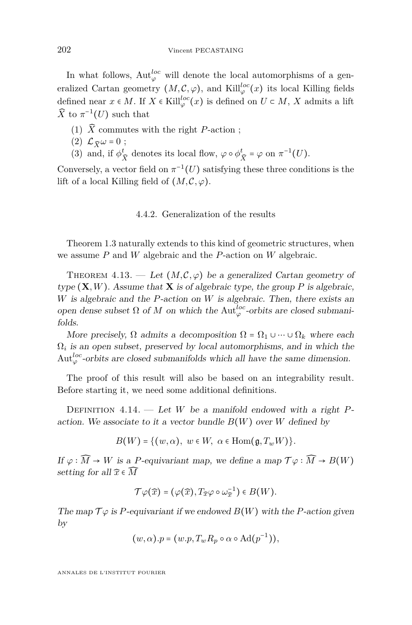In what follows,  $\mathrm{Aut}^{loc}_{\varphi}$  will denote the local automorphisms of a generalized Cartan geometry  $(M, \mathcal{C}, \varphi)$ , and Kill $_{\varphi}^{loc}(x)$  its local Killing fields defined near  $x \in M$ . If  $X \in \text{Kill}_{\varphi}^{loc}(x)$  is defined on  $U \subset M$ ,  $X$  admits a lift  $\widehat{X}$  to  $\pi^{-1}(U)$  such that

- (1)  $\widehat{X}$  commutes with the right *P*-action ;
- $(2)$   $\mathcal{L}_{\widehat{\mathbf{Y}}} \omega = 0$ ;
- (3) and, if  $\phi_{\widehat{X}}^t$  denotes its local flow,  $\varphi \circ \phi_{\widehat{X}}^t = \varphi$  on  $\pi^{-1}(U)$ .

Conversely, a vector field on  $\pi^{-1}(U)$  satisfying these three conditions is the lift of a local Killing field of  $(M, \mathcal{C}, \varphi)$ .

#### 4.4.2. Generalization of the results

Theorem [1.3](#page-5-1) naturally extends to this kind of geometric structures, when we assume *P* and *W* algebraic and the *P*-action on *W* algebraic.

<span id="page-28-0"></span>THEOREM 4.13. — Let  $(M, \mathcal{C}, \varphi)$  be a generalized Cartan geometry of type  $(X, W)$ . Assume that  $X$  is of algebraic type, the group P is algebraic, *W* is algebraic and the *P*-action on *W* is algebraic. Then, there exists an open dense subset  $\Omega$  of  $M$  on which the Aut<sup>loc</sup>-orbits are closed submanifolds.

More precisely,  $\Omega$  admits a decomposition  $\Omega = \Omega_1 \cup \cdots \cup \Omega_k$  where each  $\Omega_i$  is an open subset, preserved by local automorphisms, and in which the  $\mathrm{Aut}^{loc}_{\varphi}$ -orbits are closed submanifolds which all have the same dimension.

The proof of this result will also be based on an integrability result. Before starting it, we need some additional definitions.

Definition 4.14. — Let *W* be a manifold endowed with a right *P*action. We associate to it a vector bundle  $B(W)$  over *W* defined by

$$
B(W) = \{ (w, \alpha), \ w \in W, \ \alpha \in \text{Hom}(\mathfrak{g}, T_w W) \}.
$$

If  $\varphi : \widehat{M} \to W$  is a *P*-equivariant map, we define a map  $\mathcal{T}\varphi : \widehat{M} \to B(W)$ setting for all  $\widehat{x} \in \widehat{M}$ 

$$
\mathcal{T}\varphi(\widehat{x})=(\varphi(\widehat{x}),T_{\widehat{x}}\varphi\circ\omega_{\widehat{x}}^{-1})\in B(W).
$$

The map  $\mathcal{T}\varphi$  is *P*-equivariant if we endowed  $B(W)$  with the *P*-action given by

$$
(w, \alpha).p = (w.p, T_w R_p \circ \alpha \circ \mathrm{Ad}(p^{-1})),
$$

ANNALES DE L'INSTITUT FOURIER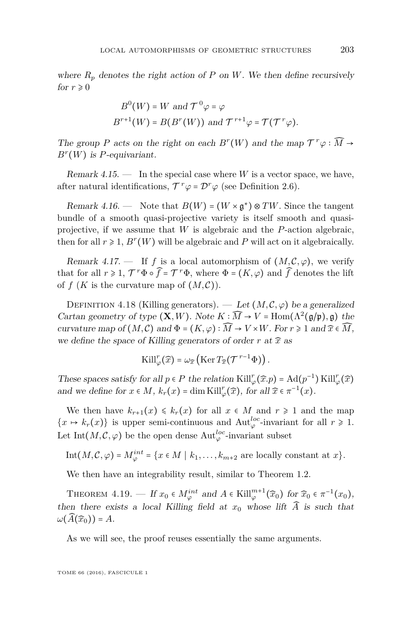where  $R_p$  denotes the right action of  $P$  on  $W$ . We then define recursively for  $r \geq 0$ 

$$
B^0(W) = W
$$
 and  $\mathcal{T}^0 \varphi = \varphi$   
 $B^{r+1}(W) = B(B^r(W))$  and  $\mathcal{T}^{r+1} \varphi = \mathcal{T}(\mathcal{T}^r \varphi)$ .

The group *P* acts on the right on each  $B^r(W)$  and the map  $\mathcal{T}^r\varphi : \widehat{M} \to$ *B r* (*W*) is *P*-equivariant.

Remark  $4.15.$  — In the special case where *W* is a vector space, we have, after natural identifications,  $T^r \varphi = \mathcal{D}^r \varphi$  (see Definition [2.6\)](#page-11-1).

Remark 4.16. — Note that  $B(W) = (W \times \mathfrak{g}^*) \otimes TW$ . Since the tangent bundle of a smooth quasi-projective variety is itself smooth and quasiprojective, if we assume that *W* is algebraic and the *P*-action algebraic, then for all  $r \ge 1$ ,  $B^r(W)$  will be algebraic and  $P$  will act on it algebraically.

Remark 4.17. — If f is a local automorphism of  $(M, \mathcal{C}, \varphi)$ , we verify that for all  $r \ge 1$ ,  $\mathcal{T}^r \Phi \circ \widehat{f} = \mathcal{T}^r \Phi$ , where  $\Phi = (K, \varphi)$  and  $\widehat{f}$  denotes the lift of  $f(K)$  is the curvature map of  $(M, \mathcal{C})$ ).

DEFINITION 4.18 (Killing generators). — Let  $(M, \mathcal{C}, \varphi)$  be a generalized Cartan geometry of type  $(\mathbf{X}, W)$ . Note  $K : \widehat{M} \to V = \text{Hom}(\Lambda^2(\mathfrak{g}/\mathfrak{p}), \mathfrak{g})$  the curvature map of  $(M, \mathcal{C})$  and  $\Phi = (K, \varphi) : \widehat{M} \to V \times W$ . For  $r \geq 1$  and  $\widehat{x} \in \widehat{M}$ , we define the space of Killing generators of order  $r$  at  $\hat{x}$  as

$$
\operatorname{Kill}^r_\varphi(\widehat{x}) = \omega_{\widehat{x}}\left(\operatorname{Ker} T_{\widehat{x}}(\mathcal{T}^{r-1}\Phi)\right).
$$

These spaces satisfy for all  $p \in P$  the relation  $\mathrm{Kill}_{\varphi}^r(\widehat{x}.p) = \mathrm{Ad}(p^{-1})\,\mathrm{Kill}_{\varphi}^r(\widehat{x})$ and we define for  $x \in M$ ,  $k_r(x) = \dim \text{Kill}_{\varphi}^r(\widehat{x})$ , for all  $\widehat{x} \in \pi^{-1}(x)$ .

We then have  $k_{r+1}(x) \leq k_r(x)$  for all  $x \in M$  and  $r \geq 1$  and the map  $\{x \mapsto k_r(x)\}\$ is upper semi-continuous and  $\text{Aut}^{loc}_{\varphi}$ -invariant for all  $r \geq 1$ . Let  $\text{Int}(M, \mathcal{C}, \varphi)$  be the open dense  $\text{Aut}^{loc}_{\varphi}$ -invariant subset

Int
$$
(M, C, \varphi) = M_{\varphi}^{int} = \{x \in M \mid k_1, \ldots, k_{m+2} \text{ are locally constant at } x\}.
$$

We then have an integrability result, similar to Theorem [1.2.](#page-5-0)

<span id="page-29-0"></span>THEOREM  $4.19.$  — If  $x_0 \in M_{\varphi}^{int}$  and  $A \in \text{Kill}_{\varphi}^{m+1}(\widehat{x}_0)$  for  $\widehat{x}_0 \in \pi^{-1}(x_0)$ , then there exists a local Killing field at  $x_0$  whose lift  $\widehat{A}$  is such that  $\omega(A(\widehat{x}_0)) = A$ .

As we will see, the proof reuses essentially the same arguments.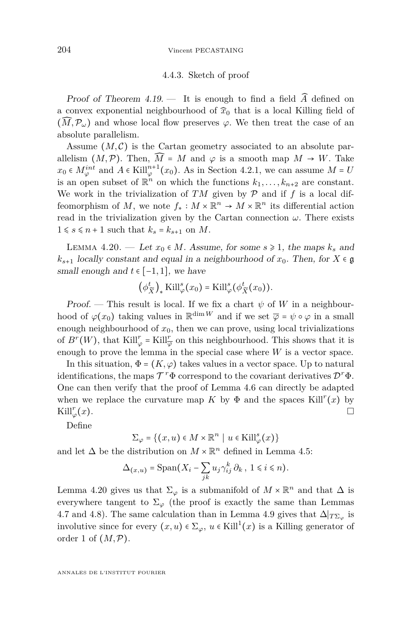#### 4.4.3. Sketch of proof

Proof of Theorem  $4.19$ . — It is enough to find a field  $\widehat{A}$  defined on a convex exponential neighbourhood of  $\hat{x}_0$  that is a local Killing field of  $(\widehat{M}, \mathcal{P}_{\omega})$  and whose local flow preserves  $\varphi$ . We then treat the case of an absolute parallelism.

Assume  $(M, \mathcal{C})$  is the Cartan geometry associated to an absolute parallelism  $(M, \mathcal{P})$ . Then,  $\widehat{M} = M$  and  $\varphi$  is a smooth map  $M \to W$ . Take  $x_0$  ∈  $M_{\varphi}^{int}$  and  $A \in$  Kill $_{\varphi}^{n+1}(x_0)$ . As in Section [4.2.1,](#page-19-0) we can assume  $M = U$ is an open subset of  $\mathbb{R}^n$  on which the functions  $k_1, \ldots, k_{n+2}$  are constant. We work in the trivialization of  $TM$  given by  $P$  and if  $f$  is a local diffeomorphism of *M*, we note  $f_* : M \times \mathbb{R}^n \to M \times \mathbb{R}^n$  its differential action read in the trivialization given by the Cartan connection  $\omega$ . There exists  $1 \le s \le n+1$  such that  $k_s = k_{s+1}$  on M.

<span id="page-30-0"></span>LEMMA 4.20. — Let  $x_0 \in M$ . Assume, for some  $s \ge 1$ , the maps  $k_s$  and  $k_{s+1}$  locally constant and equal in a neighbourhood of  $x_0$ . Then, for  $X \in \mathfrak{g}$ small enough and  $t \in [-1, 1]$ , we have

$$
(\phi_{\widetilde{X}}^t)_* \mathrm{Kill}_{\varphi}^s(x_0) = \mathrm{Kill}_{\varphi}^s(\phi_{\widetilde{X}}^t(x_0)).
$$

Proof. — This result is local. If we fix a chart  $\psi$  of W in a neighbourhood of  $\varphi(x_0)$  taking values in  $\mathbb{R}^{\dim W}$  and if we set  $\overline{\varphi} = \psi \circ \varphi$  in a small enough neighbourhood of  $x_0$ , then we can prove, using local trivializations of  $B^{r}(W)$ , that  $\text{Kill}^{r}_{\varphi} = \text{Kill}^{r}_{\overline{\varphi}}$  on this neighbourhood. This shows that it is enough to prove the lemma in the special case where *W* is a vector space.

In this situation,  $\Phi = (K, \varphi)$  takes values in a vector space. Up to natural identifications, the maps  $\mathcal{T}^r \Phi$  correspond to the covariant derivatives  $\mathcal{D}^r \Phi$ . One can then verify that the proof of Lemma [4.6](#page-20-0) can directly be adapted when we replace the curvature map  $K$  by  $\Phi$  and the spaces Kill<sup>r</sup>(*x*) by  $\text{Kill}_{\varphi}^r(x).$  $\bigcup_{\varphi}^r(x).$ 

Define

$$
\Sigma_{\varphi} = \{(x, u) \in M \times \mathbb{R}^n \mid u \in \text{Kill}_{\varphi}^s(x)\}\
$$

and let  $\Delta$  be the distribution on  $M \times \mathbb{R}^n$  defined in Lemma [4.5:](#page-20-1)

$$
\Delta_{(x,u)} = \text{Span}(X_i - \sum_{jk} u_j \gamma_{ij}^k \partial_k, \ 1 \le i \le n).
$$

Lemma [4.20](#page-30-0) gives us that  $\Sigma_{\varphi}$  is a submanifold of  $M \times \mathbb{R}^n$  and that  $\Delta$  is everywhere tangent to  $\Sigma_{\varphi}$  (the proof is exactly the same than Lemmas [4.7](#page-21-0) and [4.8\)](#page-21-1). The same calculation than in Lemma [4.9](#page-22-0) gives that  $\Delta|_{T\Sigma_{\varphi}}$  is involutive since for every  $(x, u) \in \Sigma_{\varphi}$ ,  $u \in$  Kill<sup>1</sup> $(x)$  is a Killing generator of order 1 of  $(M, \mathcal{P})$ .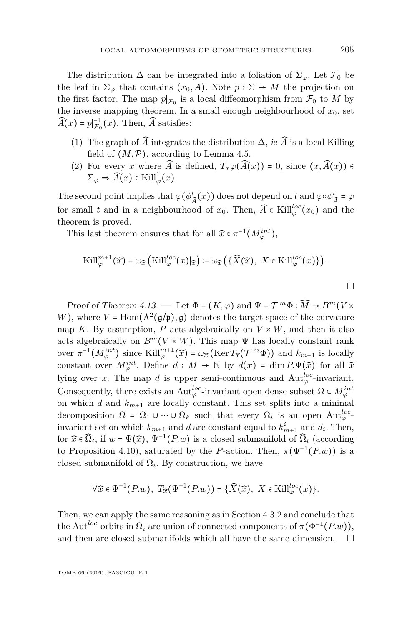The distribution  $\Delta$  can be integrated into a foliation of  $\Sigma_{\varphi}$ . Let  $\mathcal{F}_0$  be the leaf in  $\Sigma_{\varphi}$  that contains  $(x_0, A)$ . Note  $p : \Sigma \to M$  the projection on the first factor. The map  $p|_{\mathcal{F}_0}$  is a local diffeomorphism from  $\mathcal{F}_0$  to *M* by the inverse mapping theorem. In a small enough neighbourhood of  $x_0$ , set  $\widehat{A}(x) = p|_{\mathcal{F}_0}^{-1}(x)$ . Then,  $\widehat{A}$  satisfies:

- (1) The graph of  $\widehat{A}$  integrates the distribution  $\Delta$ , ie  $\widehat{A}$  is a local Killing field of  $(M, \mathcal{P})$ , according to Lemma [4.5.](#page-20-1)
- (2) For every *x* where  $\widehat{A}$  is defined,  $T_x\varphi(\widehat{A}(x)) = 0$ , since  $(x, \widehat{A}(x)) \in$  $\Sigma_{\varphi} \Rightarrow \widehat{A}(x) \in \text{Kill}_{\varphi}^{1}(x).$

The second point implies that  $\varphi(\phi^t)$  $\frac{d}{d\lambda}(x)$ ) does not depend on *t* and  $\varphi \circ \phi_{\widehat{A}}^t = \varphi$ for small *t* and in a neighbourhood of  $x_0$ . Then,  $\widehat{A} \in$  Kill<sup>l<sub> $\varphi$ </sub><sup>*c*</sup> $(x_0)$  and the</sup> theorem is proved.

This last theorem ensures that for all  $\widehat{x} \in \pi^{-1}(M_{\varphi}^{int}),$ 

$$
\mathrm{Kill}_{\varphi}^{m+1}(\widehat{x}) = \omega_{\widehat{x}}\left(\mathrm{Kill}_{\varphi}^{loc}(x)|_{\widehat{x}}\right) := \omega_{\widehat{x}}\left(\{\widehat{X}(\widehat{x}), X \in \mathrm{Kill}_{\varphi}^{loc}(x)\}\right).
$$

Proof of Theorem [4.13.](#page-28-0) — Let  $\Phi = (K, \varphi)$  and  $\Psi = \mathcal{T}^m \Phi : \widehat{M} \to B^m(V \times$ *W*), where  $V = \text{Hom}(\Lambda^2(\mathfrak{g}/\mathfrak{p}), \mathfrak{g})$  denotes the target space of the curvature map *K*. By assumption, *P* acts algebraically on  $V \times W$ , and then it also acts algebraically on  $B^m(V \times W)$ . This map  $\Psi$  has locally constant rank over  $\pi^{-1}(M^{int}_{\varphi})$  since  $\text{Kill}_{\varphi}^{m+1}(\widehat{x}) = \omega_{\widehat{x}}(\text{Ker }T_{\widehat{x}}(\mathcal{T}^m\Phi))$  and  $k_{m+1}$  is locally constant over  $M_{\varphi}^{int}$ . Define  $d : M \to \mathbb{N}$  by  $d(x) = \dim P.\Psi(\widehat{x})$  for all  $\widehat{x}$ lying over *x*. The map *d* is upper semi-continuous and  $\text{Aut}_{\varphi}^{loc}$ -invariant. Consequently, there exists an  $\mathrm{Aut}^{loc}_{\varphi}$ -invariant open dense subset  $\Omega \subset M^{int}_{\varphi}$ on which *d* and  $k_{m+1}$  are locally constant. This set splits into a minimal decomposition  $\Omega = \Omega_1 \cup \cdots \cup \Omega_k$  such that every  $\Omega_i$  is an open Aut<sup>loc</sup> invariant set on which  $k_{m+1}$  and *d* are constant equal to  $k_{m+1}^i$  and  $d_i$ . Then, for  $\widehat{x} \in \widehat{\Omega}_i$ , if  $w = \Psi(\widehat{x})$ ,  $\Psi^{-1}(P.w)$  is a closed submanifold of  $\widehat{\Omega}_i$  (according to Proposition [4.10\)](#page-25-0), saturated by the *P*-action. Then,  $\pi(\Psi^{-1}(P.w))$  is a closed submanifold of  $\Omega_i$ . By construction, we have

$$
\forall \widehat{x} \in \Psi^{-1}(P.w), \ T_{\widehat{x}}(\Psi^{-1}(P.w)) = \{\widehat{X}(\widehat{x}), \ X \in \text{Kill}_{\varphi}^{loc}(x)\}.
$$

Then, we can apply the same reasoning as in Section [4.3.2](#page-25-1) and conclude that the Aut<sup>loc</sup>-orbits in  $\Omega_i$  are union of connected components of  $\pi(\Phi^{-1}(P.w))$ , and then are closed submanifolds which all have the same dimension.  $\Box$ 

 $\Box$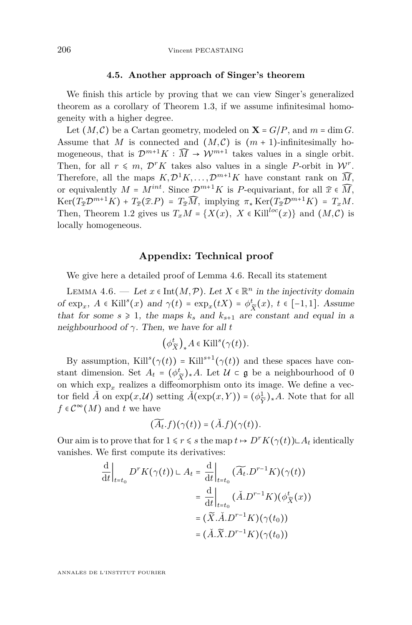#### **4.5. Another approach of Singer's theorem**

We finish this article by proving that we can view Singer's generalized theorem as a corollary of Theorem [1.3,](#page-5-1) if we assume infinitesimal homogeneity with a higher degree.

Let  $(M, \mathcal{C})$  be a Cartan geometry, modeled on  $\mathbf{X} = G/P$ , and  $m = \dim G$ . Assume that *M* is connected and  $(M, \mathcal{C})$  is  $(m + 1)$ -infinitesimally homogeneous, that is  $\mathcal{D}^{m+1}K : \widehat{M} \to \mathcal{W}^{m+1}$  takes values in a single orbit. Then, for all  $r \leq m$ ,  $\mathcal{D}^r K$  takes also values in a single *P*-orbit in  $\mathcal{W}^r$ . Therefore, all the maps  $K, \mathcal{D}^1 K, \ldots, \mathcal{D}^{m+1} K$  have constant rank on  $\widehat{M}$ <sup>\*</sup>, or equivalently  $M = M^{int}$ . Since  $\mathcal{D}^{m+1}K$  is *P*-equivariant, for all  $\hat{x} \in \widehat{M}$ ,  $Ker(T_{\widehat{x}}\mathcal{D}^{m+1}K) + T_{\widehat{x}}(\widehat{x}.P) = T_{\widehat{x}}\widehat{M}$ , implying  $\pi_* Ker(T_{\widehat{x}}\mathcal{D}^{m+1}K) = T_xM$ . Then, Theorem [1.2](#page-5-0) gives us  $T_xM = \{X(x), X \in \text{Kill}^{loc}(x)\}\$ and  $(M, C)$  is locally homogeneous.

#### <span id="page-32-0"></span>**Appendix: Technical proof**

We give here a detailed proof of Lemma [4.6.](#page-20-0) Recall its statement

LEMMA [4.6.](#page-20-0) — Let  $x \in \text{Int}(M, \mathcal{P})$ . Let  $X \in \mathbb{R}^n$  in the injectivity domain of  $\exp_x$ ,  $A \in$ Kill<sup>s</sup> $(x)$  and  $\gamma(t) = \exp_x(tX) = \phi^t$  $\frac{t}{\widetilde{X}}(x), t$  ∈ [−1, 1]. Assume that for some  $s \geq 1$ , the maps  $k_s$  and  $k_{s+1}$  are constant and equal in a neighbourhood of *γ*. Then, we have for all *t*

$$
\left(\phi_{\widetilde{X}}^t\right)_*A\in \mathrm{Kill}^s(\gamma(t)).
$$

By assumption, Kill<sup>s</sup>( $\gamma(t)$ ) = Kill<sup>s+1</sup>( $\gamma(t)$ ) and these spaces have constant dimension. Set  $A_t = (\phi_t^t)$  $\left(\frac{t}{\tilde{X}}\right)$ ∗*A*. Let  $\mathcal{U} \subset \mathfrak{g}$  be a neighbourhood of 0 on which  $\exp_x$  realizes a diffeomorphism onto its image. We define a vector field  $\check{A}$  on  $\exp(x, \mathcal{U})$  setting  $\check{A}(\exp(x, Y)) = (\phi_{\hat{Y}}^1)$  $\frac{1}{\tilde{Y}}$ <sup>2</sup><sup>∗</sup>*A*. Note that for all  $f \in C^{\infty}(M)$  and *t* we have

$$
(\widetilde{A_t}.f)(\gamma(t)) = (\check{A}.f)(\gamma(t)).
$$

Our aim is to prove that for  $1 \leq r \leq s$  the map  $t \mapsto D^r K(\gamma(t)) \sqcup A_t$  identically vanishes. We first compute its derivatives:

$$
\frac{d}{dt}\Big|_{t=t_0} D^r K(\gamma(t)) \sqcup A_t = \frac{d}{dt}\Big|_{t=t_0} (\widetilde{A}_t \cdot D^{r-1} K)(\gamma(t))
$$
\n
$$
= \frac{d}{dt}\Big|_{t=t_0} (\check{A} \cdot D^{r-1} K)(\phi_{\widetilde{X}}^t(x))
$$
\n
$$
= (\widetilde{X} \cdot \check{A} \cdot D^{r-1} K)(\gamma(t_0))
$$
\n
$$
= (\check{A} \cdot \widetilde{X} \cdot D^{r-1} K)(\gamma(t_0))
$$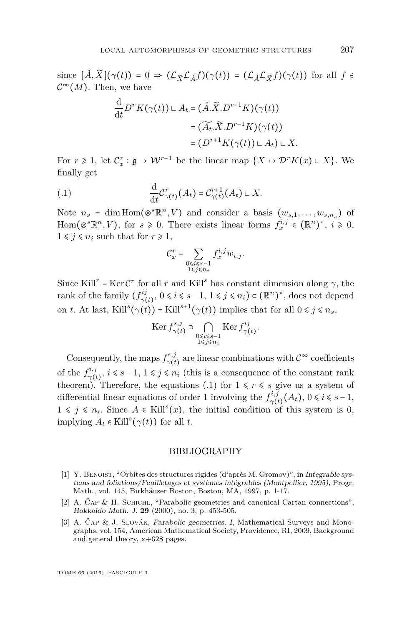since  $[\check{A}, \widetilde{X}](\gamma(t)) = 0 \Rightarrow (\mathcal{L}_{\widetilde{X}} \mathcal{L}_{\check{A}} f)(\gamma(t)) = (\mathcal{L}_{\check{A}} \mathcal{L}_{\widetilde{X}} f)(\gamma(t))$  for all  $f \in$  $\mathcal{C}^{\infty}(M)$ . Then, we have

$$
\frac{d}{dt}D^r K(\gamma(t)) \subset A_t = (\check{A}.\widetilde{X}.D^{r-1}K)(\gamma(t))
$$

$$
= (\widetilde{A_t}.\widetilde{X}.D^{r-1}K)(\gamma(t))
$$

$$
= (D^{r+1}K(\gamma(t)) \subset A_t) \subset X
$$

For  $r \ge 1$ , let  $\mathcal{C}_x^r : \mathfrak{g} \to \mathcal{W}^{r-1}$  be the linear map  $\{X \mapsto \mathcal{D}^r K(x) \sqcup X\}$ . We finally get

$$
\frac{\mathrm{d}}{\mathrm{d}t}\mathcal{C}_{\gamma(t)}^r(A_t) = \mathcal{C}_{\gamma(t)}^{r+1}(A_t) \sqcup X.
$$

d

Note  $n_s$  = dim Hom( $\otimes^s \mathbb{R}^n$ , V) and consider a basis  $(w_{s,1}, \ldots, w_{s,n_s})$  of Hom( $\otimes^s \mathbb{R}^n$ , *V*), for  $s \ge 0$ . There exists linear forms  $f_x^{i,j} \in (\mathbb{R}^n)^*$ ,  $i \ge 0$ ,  $1 \leq j \leq n_i$  such that for  $r \geq 1$ ,

<span id="page-33-3"></span>
$$
\mathcal{C}_x^r = \sum_{\substack{0 \le i \le r-1 \\ 1 \le j \le n_i}} f_x^{i,j} w_{i,j}.
$$

Since Kill<sup>*r*</sup> = Ker  $C^r$  for all *r* and Kill<sup>*s*</sup> has constant dimension along  $\gamma$ , the rank of the family  $(f_{\gamma}^{ij})$  $\gamma(t)$ ,  $0 \le i \le s-1$ ,  $1 \le j \le n_i$ ) ⊂ ( $\mathbb{R}^n$ )<sup>\*</sup>, does not depend on *t*. At last, Kill<sup>s</sup>( $\gamma$ (*t*)) = Kill<sup>s+1</sup>( $\gamma$ (*t*)) implies that for all  $0 \leq j \leq n_s$ ,

$$
\operatorname{Ker} f_{\gamma(t)}^{s,j} \supset \bigcap_{\substack{0 \le i \le s-1 \\ 1 \le j \le n_i}} \operatorname{Ker} f_{\gamma(t)}^{ij}.
$$

Consequently, the maps  $f_{\gamma(t)}^{s,j}$  $\gamma(t)$  are linear combinations with  $\mathcal{C}^{\infty}$  coefficients of the  $f_{\sim}^{i,j}$  $\gamma^{i,j}, i \leq s-1, 1 \leq j \leq n_i$  (this is a consequence of the constant rank theorem). Therefore, the equations [\(.1\)](#page-33-3) for  $1 \leq r \leq s$  give us a system of differential linear equations of order 1 involving the  $f_{\gamma(i)}^{i,j}$  $v_{\gamma(t)}^{i,j}(A_t), 0 \le i \le s-1,$ 1 ≤  $j$  ≤  $n_i$ . Since  $A \in$  Kill<sup>s</sup>(*x*), the initial condition of this system is 0,  $\text{implying } A_t \in \text{Kill}^s(\gamma(t)) \text{ for all } t.$ 

#### BIBLIOGRAPHY

- <span id="page-33-0"></span>[1] Y. Benoist, "Orbites des structures rigides (d'après M. Gromov)", in Integrable systems and foliations/Feuilletages et systèmes intégrables (Montpellier, 1995), Progr. Math., vol. 145, Birkhäuser Boston, Boston, MA, 1997, p. 1-17.
- <span id="page-33-1"></span>[2] A. ČAP & H. SCHICHL, "Parabolic geometries and canonical Cartan connections". Hokkaido Math. J. **29** (2000), no. 3, p. 453-505.
- <span id="page-33-2"></span>[3] A. Čap & J. Slovák, Parabolic geometries. I, Mathematical Surveys and Monographs, vol. 154, American Mathematical Society, Providence, RI, 2009, Background and general theory, x+628 pages.

TOME 66 (2016), FASCICULE 1